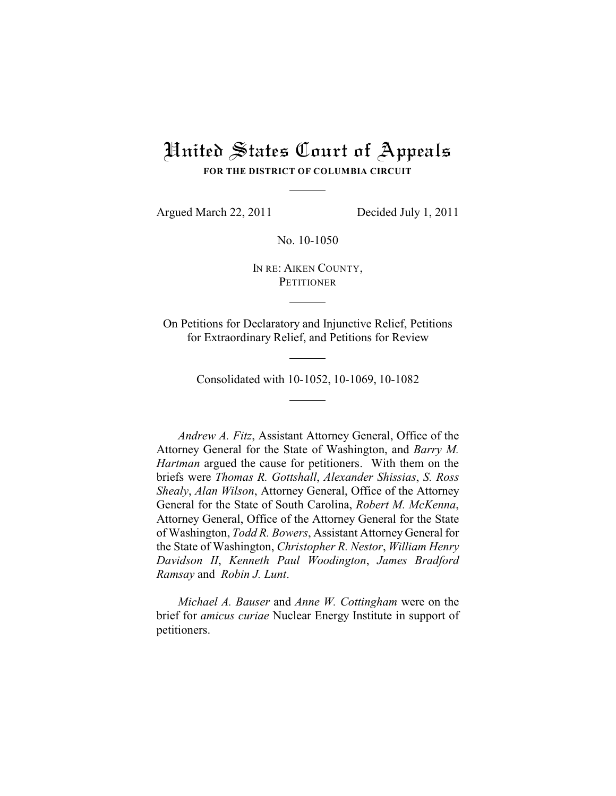# United States Court of Appeals **FOR THE DISTRICT OF COLUMBIA CIRCUIT**

Argued March 22, 2011 Decided July 1, 2011

No. 10-1050

IN RE: AIKEN COUNTY, **PETITIONER** 

On Petitions for Declaratory and Injunctive Relief, Petitions for Extraordinary Relief, and Petitions for Review

Consolidated with 10-1052, 10-1069, 10-1082

*Andrew A. Fitz*, Assistant Attorney General, Office of the Attorney General for the State of Washington, and *Barry M. Hartman* argued the cause for petitioners. With them on the briefs were *Thomas R. Gottshall*, *Alexander Shissias*, *S. Ross Shealy*, *Alan Wilson*, Attorney General, Office of the Attorney General for the State of South Carolina, *Robert M. McKenna*, Attorney General, Office of the Attorney General for the State of Washington, *Todd R. Bowers*, Assistant Attorney General for the State of Washington, *Christopher R. Nestor*, *William Henry Davidson II*, *Kenneth Paul Woodington*, *James Bradford Ramsay* and *Robin J. Lunt*.

*Michael A. Bauser* and *Anne W. Cottingham* were on the brief for *amicus curiae* Nuclear Energy Institute in support of petitioners.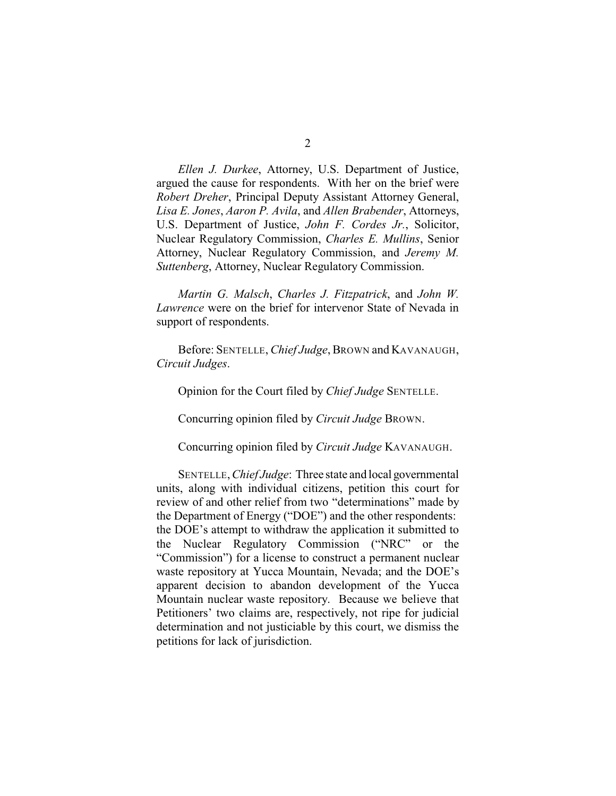*Ellen J. Durkee*, Attorney, U.S. Department of Justice, argued the cause for respondents. With her on the brief were

*Robert Dreher*, Principal Deputy Assistant Attorney General, *Lisa E. Jones*, *Aaron P. Avila*, and *Allen Brabender*, Attorneys, U.S. Department of Justice, *John F. Cordes Jr.*, Solicitor, Nuclear Regulatory Commission, *Charles E. Mullins*, Senior Attorney, Nuclear Regulatory Commission, and *Jeremy M. Suttenberg*, Attorney, Nuclear Regulatory Commission.

*Martin G. Malsch*, *Charles J. Fitzpatrick*, and *John W. Lawrence* were on the brief for intervenor State of Nevada in support of respondents.

Before: SENTELLE, *Chief Judge*, BROWN and KAVANAUGH, *Circuit Judges*.

Opinion for the Court filed by *Chief Judge* SENTELLE.

Concurring opinion filed by *Circuit Judge* BROWN.

Concurring opinion filed by *Circuit Judge* KAVANAUGH.

SENTELLE, *Chief Judge*: Three state and local governmental units, along with individual citizens, petition this court for review of and other relief from two "determinations" made by the Department of Energy ("DOE") and the other respondents: the DOE's attempt to withdraw the application it submitted to the Nuclear Regulatory Commission ("NRC" or the "Commission") for a license to construct a permanent nuclear waste repository at Yucca Mountain, Nevada; and the DOE's apparent decision to abandon development of the Yucca Mountain nuclear waste repository. Because we believe that Petitioners' two claims are, respectively, not ripe for judicial determination and not justiciable by this court, we dismiss the petitions for lack of jurisdiction.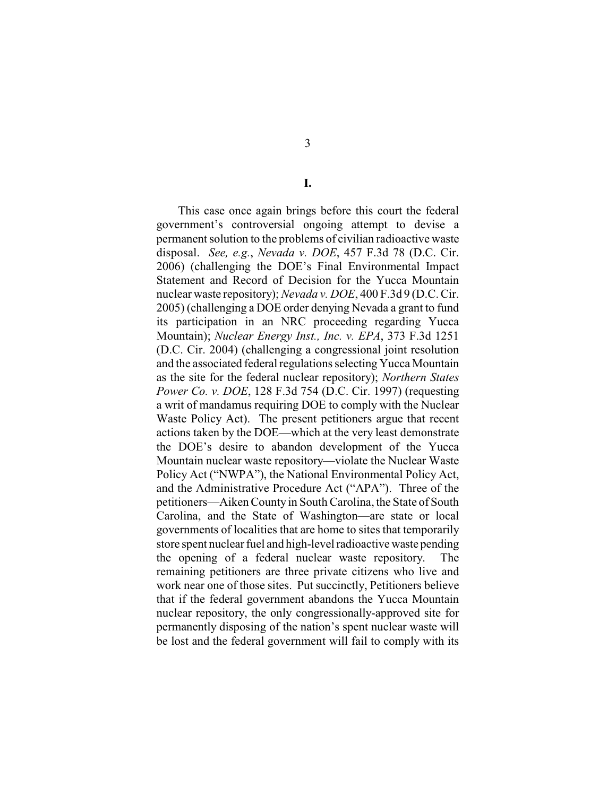This case once again brings before this court the federal government's controversial ongoing attempt to devise a permanent solution to the problems of civilian radioactive waste disposal. *See, e.g.*, *Nevada v. DOE*, 457 F.3d 78 (D.C. Cir. 2006) (challenging the DOE's Final Environmental Impact Statement and Record of Decision for the Yucca Mountain nuclear waste repository); *Nevada v. DOE*, 400 F.3d 9 (D.C. Cir. 2005) (challenging a DOE order denying Nevada a grant to fund its participation in an NRC proceeding regarding Yucca Mountain); *Nuclear Energy Inst., Inc. v. EPA*, 373 F.3d 1251 (D.C. Cir. 2004) (challenging a congressional joint resolution and the associated federal regulations selecting Yucca Mountain as the site for the federal nuclear repository); *Northern States Power Co. v. DOE*, 128 F.3d 754 (D.C. Cir. 1997) (requesting a writ of mandamus requiring DOE to comply with the Nuclear Waste Policy Act). The present petitioners argue that recent actions taken by the DOE—which at the very least demonstrate the DOE's desire to abandon development of the Yucca Mountain nuclear waste repository—violate the Nuclear Waste Policy Act ("NWPA"), the National Environmental Policy Act, and the Administrative Procedure Act ("APA"). Three of the petitioners—Aiken County in South Carolina, the State of South Carolina, and the State of Washington—are state or local governments of localities that are home to sites that temporarily store spent nuclear fuel and high-level radioactive waste pending the opening of a federal nuclear waste repository. The remaining petitioners are three private citizens who live and work near one of those sites. Put succinctly, Petitioners believe that if the federal government abandons the Yucca Mountain nuclear repository, the only congressionally-approved site for permanently disposing of the nation's spent nuclear waste will be lost and the federal government will fail to comply with its

3

**I.**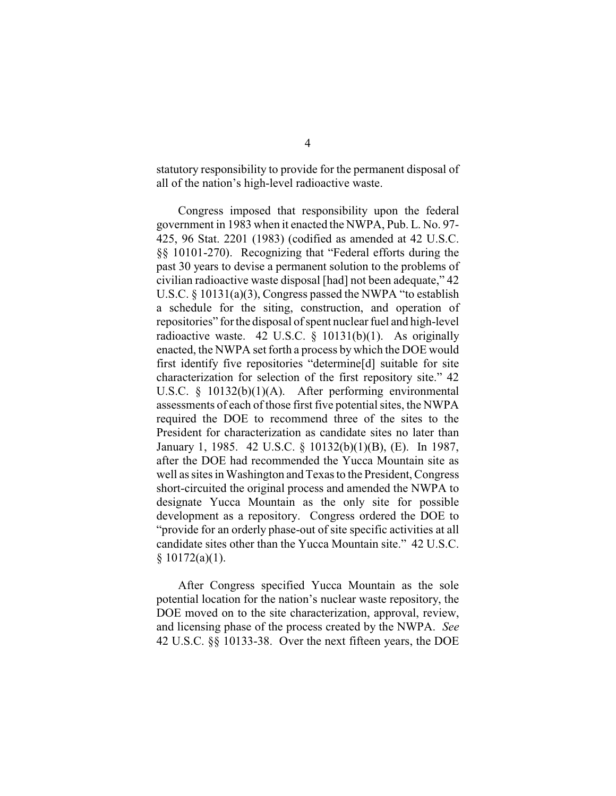statutory responsibility to provide for the permanent disposal of all of the nation's high-level radioactive waste.

Congress imposed that responsibility upon the federal government in 1983 when it enacted the NWPA, Pub. L. No. 97- 425, 96 Stat. 2201 (1983) (codified as amended at 42 U.S.C. §§ 10101-270). Recognizing that "Federal efforts during the past 30 years to devise a permanent solution to the problems of civilian radioactive waste disposal [had] not been adequate," 42 U.S.C. § 10131(a)(3), Congress passed the NWPA "to establish a schedule for the siting, construction, and operation of repositories" for the disposal of spent nuclear fuel and high-level radioactive waste. 42 U.S.C.  $\S$  10131(b)(1). As originally enacted, the NWPA set forth a process by which the DOE would first identify five repositories "determine[d] suitable for site characterization for selection of the first repository site." 42 U.S.C. § 10132(b)(1)(A). After performing environmental assessments of each of those first five potential sites, the NWPA required the DOE to recommend three of the sites to the President for characterization as candidate sites no later than January 1, 1985. 42 U.S.C. § 10132(b)(1)(B), (E). In 1987, after the DOE had recommended the Yucca Mountain site as well as sites in Washington and Texas to the President, Congress short-circuited the original process and amended the NWPA to designate Yucca Mountain as the only site for possible development as a repository. Congress ordered the DOE to "provide for an orderly phase-out of site specific activities at all candidate sites other than the Yucca Mountain site." 42 U.S.C.  $§ 10172(a)(1).$ 

After Congress specified Yucca Mountain as the sole potential location for the nation's nuclear waste repository, the DOE moved on to the site characterization, approval, review, and licensing phase of the process created by the NWPA. *See* 42 U.S.C. §§ 10133-38. Over the next fifteen years, the DOE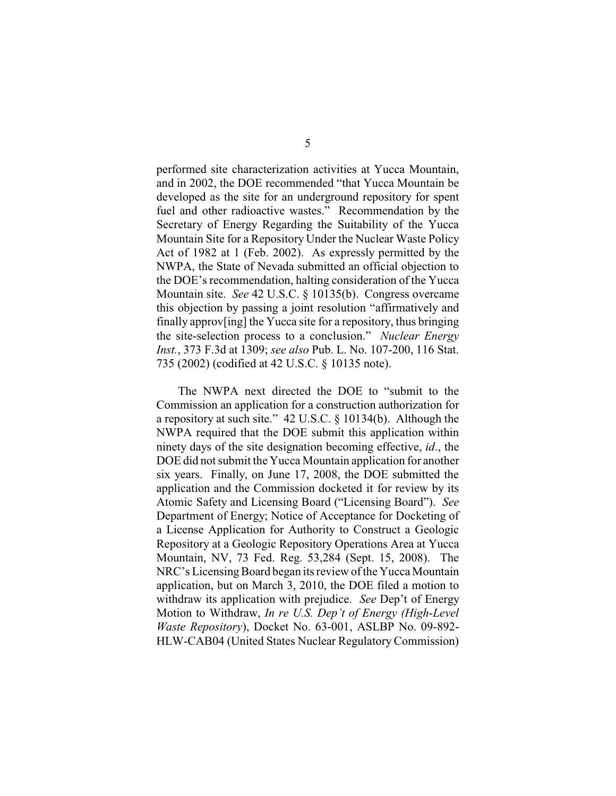performed site characterization activities at Yucca Mountain, and in 2002, the DOE recommended "that Yucca Mountain be developed as the site for an underground repository for spent fuel and other radioactive wastes." Recommendation by the Secretary of Energy Regarding the Suitability of the Yucca Mountain Site for a Repository Under the Nuclear Waste Policy Act of 1982 at 1 (Feb. 2002). As expressly permitted by the NWPA, the State of Nevada submitted an official objection to the DOE's recommendation, halting consideration of the Yucca Mountain site. *See* 42 U.S.C. § 10135(b). Congress overcame this objection by passing a joint resolution "affirmatively and finally approv[ing] the Yucca site for a repository, thus bringing the site-selection process to a conclusion." *Nuclear Energy Inst.*, 373 F.3d at 1309; *see also* Pub. L. No. 107-200, 116 Stat. 735 (2002) (codified at 42 U.S.C. § 10135 note).

The NWPA next directed the DOE to "submit to the Commission an application for a construction authorization for a repository at such site." 42 U.S.C. § 10134(b). Although the NWPA required that the DOE submit this application within ninety days of the site designation becoming effective, *id*., the DOE did not submit the Yucca Mountain application for another six years. Finally, on June 17, 2008, the DOE submitted the application and the Commission docketed it for review by its Atomic Safety and Licensing Board ("Licensing Board"). *See* Department of Energy; Notice of Acceptance for Docketing of a License Application for Authority to Construct a Geologic Repository at a Geologic Repository Operations Area at Yucca Mountain, NV, 73 Fed. Reg. 53,284 (Sept. 15, 2008). The NRC's Licensing Board began its review of the Yucca Mountain application, but on March 3, 2010, the DOE filed a motion to withdraw its application with prejudice. *See* Dep't of Energy Motion to Withdraw, *In re U.S. Dep't of Energy (High-Level Waste Repository*), Docket No. 63-001, ASLBP No. 09-892- HLW-CAB04 (United States Nuclear Regulatory Commission)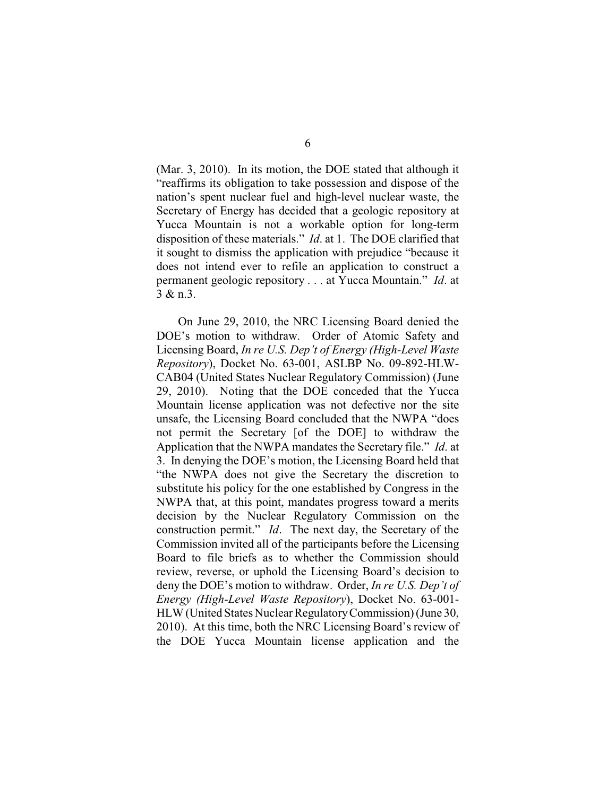(Mar. 3, 2010). In its motion, the DOE stated that although it "reaffirms its obligation to take possession and dispose of the nation's spent nuclear fuel and high-level nuclear waste, the Secretary of Energy has decided that a geologic repository at Yucca Mountain is not a workable option for long-term disposition of these materials." *Id*. at 1. The DOE clarified that it sought to dismiss the application with prejudice "because it does not intend ever to refile an application to construct a permanent geologic repository . . . at Yucca Mountain." *Id*. at 3 & n.3.

On June 29, 2010, the NRC Licensing Board denied the DOE's motion to withdraw. Order of Atomic Safety and Licensing Board, *In re U.S. Dep't of Energy (High-Level Waste Repository*), Docket No. 63-001, ASLBP No. 09-892-HLW-CAB04 (United States Nuclear Regulatory Commission) (June 29, 2010). Noting that the DOE conceded that the Yucca Mountain license application was not defective nor the site unsafe, the Licensing Board concluded that the NWPA "does not permit the Secretary [of the DOE] to withdraw the Application that the NWPA mandates the Secretary file." *Id*. at 3. In denying the DOE's motion, the Licensing Board held that "the NWPA does not give the Secretary the discretion to substitute his policy for the one established by Congress in the NWPA that, at this point, mandates progress toward a merits decision by the Nuclear Regulatory Commission on the construction permit." *Id*. The next day, the Secretary of the Commission invited all of the participants before the Licensing Board to file briefs as to whether the Commission should review, reverse, or uphold the Licensing Board's decision to deny the DOE's motion to withdraw. Order, *In re U.S. Dep't of Energy (High-Level Waste Repository*), Docket No. 63-001- HLW (United States Nuclear RegulatoryCommission) (June 30, 2010). At this time, both the NRC Licensing Board's review of the DOE Yucca Mountain license application and the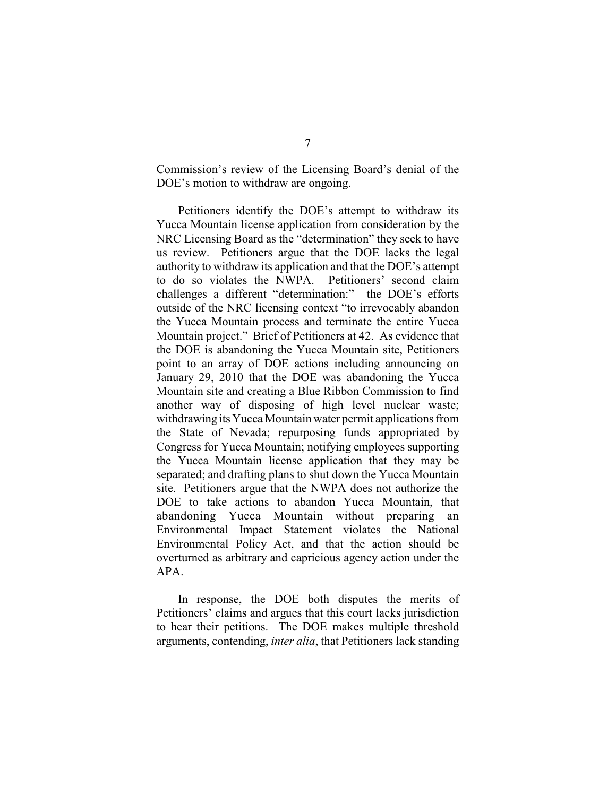Commission's review of the Licensing Board's denial of the DOE's motion to withdraw are ongoing.

Petitioners identify the DOE's attempt to withdraw its Yucca Mountain license application from consideration by the NRC Licensing Board as the "determination" they seek to have us review. Petitioners argue that the DOE lacks the legal authority to withdraw its application and that the DOE's attempt to do so violates the NWPA. Petitioners' second claim challenges a different "determination:" the DOE's efforts outside of the NRC licensing context "to irrevocably abandon the Yucca Mountain process and terminate the entire Yucca Mountain project." Brief of Petitioners at 42. As evidence that the DOE is abandoning the Yucca Mountain site, Petitioners point to an array of DOE actions including announcing on January 29, 2010 that the DOE was abandoning the Yucca Mountain site and creating a Blue Ribbon Commission to find another way of disposing of high level nuclear waste; withdrawing its Yucca Mountain water permit applications from the State of Nevada; repurposing funds appropriated by Congress for Yucca Mountain; notifying employees supporting the Yucca Mountain license application that they may be separated; and drafting plans to shut down the Yucca Mountain site. Petitioners argue that the NWPA does not authorize the DOE to take actions to abandon Yucca Mountain, that abandoning Yucca Mountain without preparing an Environmental Impact Statement violates the National Environmental Policy Act, and that the action should be overturned as arbitrary and capricious agency action under the APA.

In response, the DOE both disputes the merits of Petitioners' claims and argues that this court lacks jurisdiction to hear their petitions. The DOE makes multiple threshold arguments, contending, *inter alia*, that Petitioners lack standing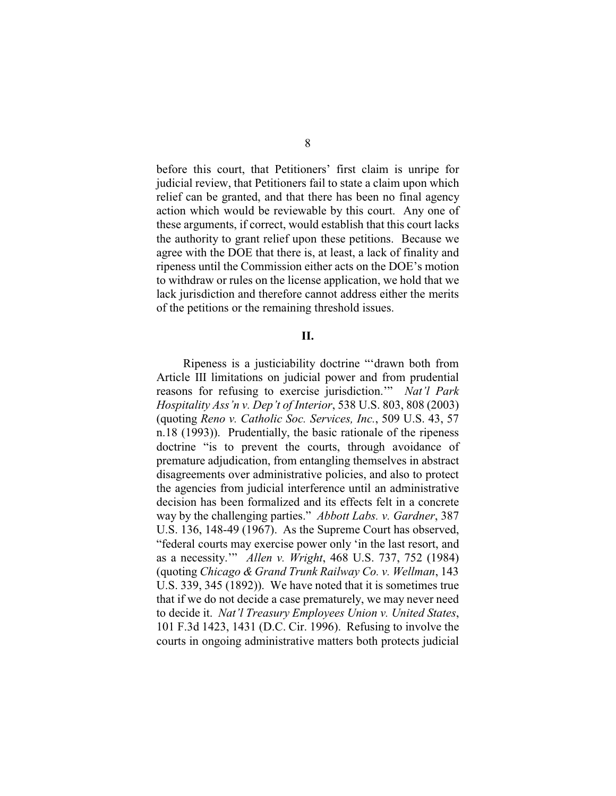before this court, that Petitioners' first claim is unripe for judicial review, that Petitioners fail to state a claim upon which relief can be granted, and that there has been no final agency action which would be reviewable by this court. Any one of these arguments, if correct, would establish that this court lacks the authority to grant relief upon these petitions. Because we agree with the DOE that there is, at least, a lack of finality and ripeness until the Commission either acts on the DOE's motion to withdraw or rules on the license application, we hold that we lack jurisdiction and therefore cannot address either the merits of the petitions or the remaining threshold issues.

# **II.**

Ripeness is a justiciability doctrine "'drawn both from Article III limitations on judicial power and from prudential reasons for refusing to exercise jurisdiction.'" *Nat'l Park Hospitality Ass'n v. Dep't of Interior*, 538 U.S. 803, 808 (2003) (quoting *Reno v. Catholic Soc. Services, Inc.*, 509 U.S. 43, 57 n.18 (1993)). Prudentially, the basic rationale of the ripeness doctrine "is to prevent the courts, through avoidance of premature adjudication, from entangling themselves in abstract disagreements over administrative policies, and also to protect the agencies from judicial interference until an administrative decision has been formalized and its effects felt in a concrete way by the challenging parties." *Abbott Labs. v. Gardner*, 387 U.S. 136, 148-49 (1967). As the Supreme Court has observed, "federal courts may exercise power only 'in the last resort, and as a necessity.'" *Allen v. Wright*, 468 U.S. 737, 752 (1984) (quoting *Chicago & Grand Trunk Railway Co. v. Wellman*, 143 U.S. 339, 345 (1892)). We have noted that it is sometimes true that if we do not decide a case prematurely, we may never need to decide it. *Nat'l Treasury Employees Union v. United States*, 101 F.3d 1423, 1431 (D.C. Cir. 1996). Refusing to involve the courts in ongoing administrative matters both protects judicial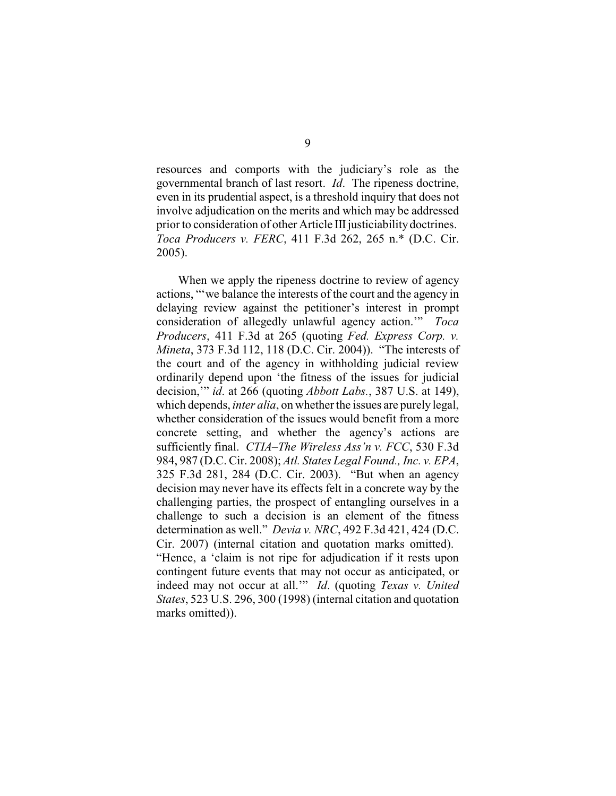resources and comports with the judiciary's role as the governmental branch of last resort. *Id*. The ripeness doctrine, even in its prudential aspect, is a threshold inquiry that does not involve adjudication on the merits and which may be addressed prior to consideration of other Article III justiciability doctrines. *Toca Producers v. FERC*, 411 F.3d 262, 265 n.\* (D.C. Cir. 2005).

When we apply the ripeness doctrine to review of agency actions, "'we balance the interests of the court and the agency in delaying review against the petitioner's interest in prompt consideration of allegedly unlawful agency action.'" *Toca Producers*, 411 F.3d at 265 (quoting *Fed. Express Corp. v. Mineta*, 373 F.3d 112, 118 (D.C. Cir. 2004)). "The interests of the court and of the agency in withholding judicial review ordinarily depend upon 'the fitness of the issues for judicial decision,'" *id*. at 266 (quoting *Abbott Labs.*, 387 U.S. at 149), which depends, *inter alia*, on whether the issues are purely legal, whether consideration of the issues would benefit from a more concrete setting, and whether the agency's actions are sufficiently final. *CTIA–The Wireless Ass'n v. FCC*, 530 F.3d 984, 987 (D.C. Cir. 2008); *Atl. States Legal Found., Inc. v. EPA*, 325 F.3d 281, 284 (D.C. Cir. 2003). "But when an agency decision may never have its effects felt in a concrete way by the challenging parties, the prospect of entangling ourselves in a challenge to such a decision is an element of the fitness determination as well." *Devia v. NRC*, 492 F.3d 421, 424 (D.C. Cir. 2007) (internal citation and quotation marks omitted). "Hence, a 'claim is not ripe for adjudication if it rests upon contingent future events that may not occur as anticipated, or indeed may not occur at all.'" *Id*. (quoting *Texas v. United States*, 523 U.S. 296, 300 (1998) (internal citation and quotation marks omitted)).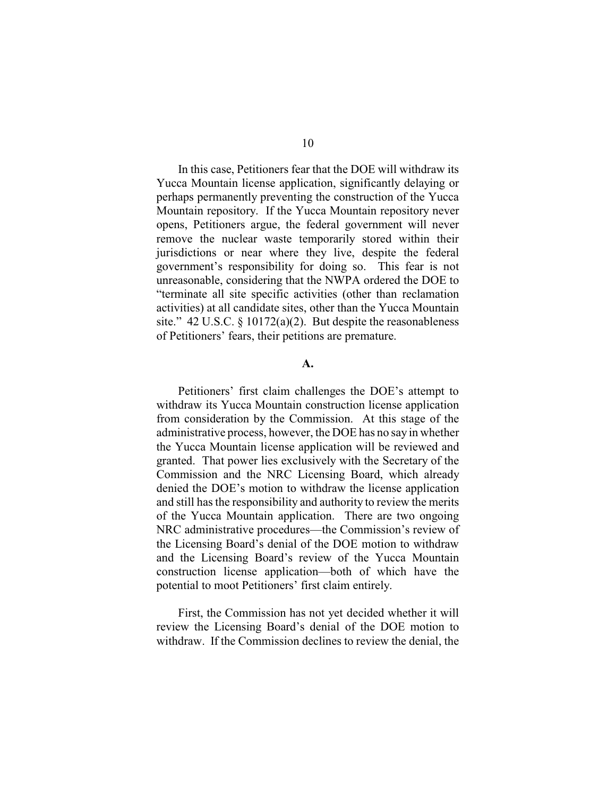In this case, Petitioners fear that the DOE will withdraw its Yucca Mountain license application, significantly delaying or perhaps permanently preventing the construction of the Yucca Mountain repository. If the Yucca Mountain repository never opens, Petitioners argue, the federal government will never remove the nuclear waste temporarily stored within their jurisdictions or near where they live, despite the federal government's responsibility for doing so. This fear is not unreasonable, considering that the NWPA ordered the DOE to "terminate all site specific activities (other than reclamation activities) at all candidate sites, other than the Yucca Mountain site." 42 U.S.C. § 10172(a)(2). But despite the reasonableness of Petitioners' fears, their petitions are premature.

## **A.**

Petitioners' first claim challenges the DOE's attempt to withdraw its Yucca Mountain construction license application from consideration by the Commission. At this stage of the administrative process, however, the DOE has no say in whether the Yucca Mountain license application will be reviewed and granted. That power lies exclusively with the Secretary of the Commission and the NRC Licensing Board, which already denied the DOE's motion to withdraw the license application and still has the responsibility and authority to review the merits of the Yucca Mountain application. There are two ongoing NRC administrative procedures—the Commission's review of the Licensing Board's denial of the DOE motion to withdraw and the Licensing Board's review of the Yucca Mountain construction license application—both of which have the potential to moot Petitioners' first claim entirely.

First, the Commission has not yet decided whether it will review the Licensing Board's denial of the DOE motion to withdraw. If the Commission declines to review the denial, the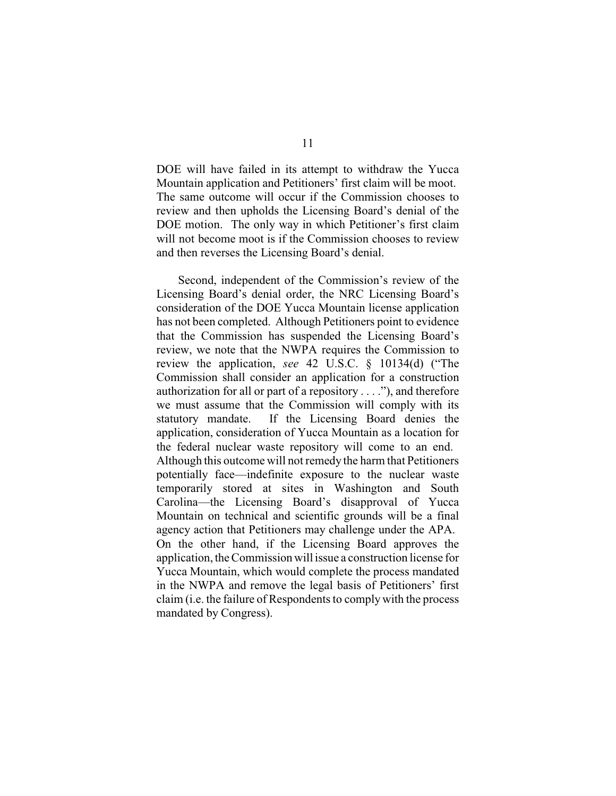DOE will have failed in its attempt to withdraw the Yucca Mountain application and Petitioners' first claim will be moot. The same outcome will occur if the Commission chooses to review and then upholds the Licensing Board's denial of the DOE motion. The only way in which Petitioner's first claim will not become moot is if the Commission chooses to review and then reverses the Licensing Board's denial.

Second, independent of the Commission's review of the Licensing Board's denial order, the NRC Licensing Board's consideration of the DOE Yucca Mountain license application has not been completed. Although Petitioners point to evidence that the Commission has suspended the Licensing Board's review, we note that the NWPA requires the Commission to review the application, *see* 42 U.S.C. § 10134(d) ("The Commission shall consider an application for a construction authorization for all or part of a repository  $\dots$ ", and therefore we must assume that the Commission will comply with its statutory mandate. If the Licensing Board denies the application, consideration of Yucca Mountain as a location for the federal nuclear waste repository will come to an end. Although this outcome will not remedy the harm that Petitioners potentially face—indefinite exposure to the nuclear waste temporarily stored at sites in Washington and South Carolina—the Licensing Board's disapproval of Yucca Mountain on technical and scientific grounds will be a final agency action that Petitioners may challenge under the APA. On the other hand, if the Licensing Board approves the application, the Commission will issue a construction license for Yucca Mountain, which would complete the process mandated in the NWPA and remove the legal basis of Petitioners' first claim (i.e. the failure of Respondents to comply with the process mandated by Congress).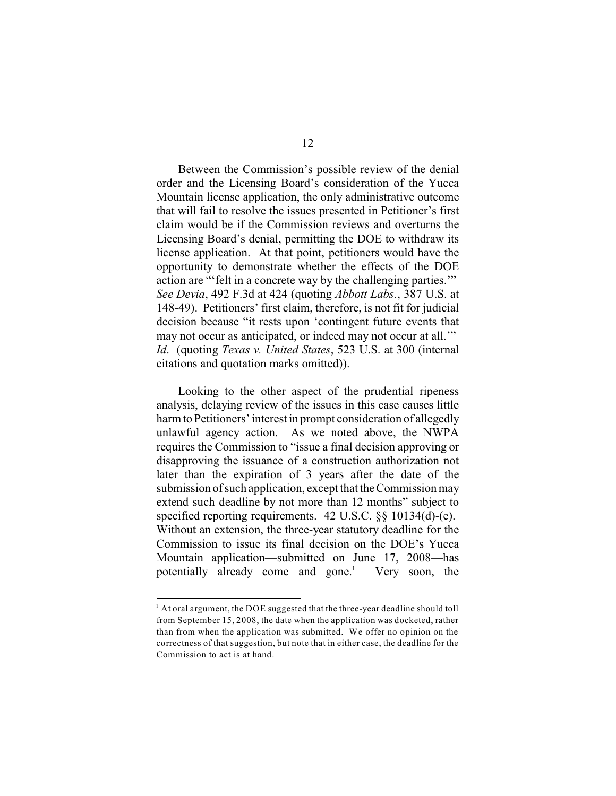Between the Commission's possible review of the denial order and the Licensing Board's consideration of the Yucca Mountain license application, the only administrative outcome that will fail to resolve the issues presented in Petitioner's first claim would be if the Commission reviews and overturns the Licensing Board's denial, permitting the DOE to withdraw its license application. At that point, petitioners would have the opportunity to demonstrate whether the effects of the DOE action are "'felt in a concrete way by the challenging parties.'" *See Devia*, 492 F.3d at 424 (quoting *Abbott Labs.*, 387 U.S. at 148-49). Petitioners' first claim, therefore, is not fit for judicial decision because "it rests upon 'contingent future events that may not occur as anticipated, or indeed may not occur at all." *Id*. (quoting *Texas v. United States*, 523 U.S. at 300 (internal citations and quotation marks omitted)).

Looking to the other aspect of the prudential ripeness analysis, delaying review of the issues in this case causes little harm to Petitioners' interest in prompt consideration of allegedly unlawful agency action. As we noted above, the NWPA requires the Commission to "issue a final decision approving or disapproving the issuance of a construction authorization not later than the expiration of 3 years after the date of the submission of such application, except that the Commission may extend such deadline by not more than 12 months" subject to specified reporting requirements. 42 U.S.C. §§ 10134(d)-(e). Without an extension, the three-year statutory deadline for the Commission to issue its final decision on the DOE's Yucca Mountain application—submitted on June 17, 2008—has potentially already come and gone.<sup>1</sup> Very soon, the

 $^1$  At oral argument, the DOE suggested that the three-year deadline should toll from September 15, 2008, the date when the application was docketed, rather than from when the application was submitted. We offer no opinion on the correctness of that suggestion, but note that in either case, the deadline for the Commission to act is at hand.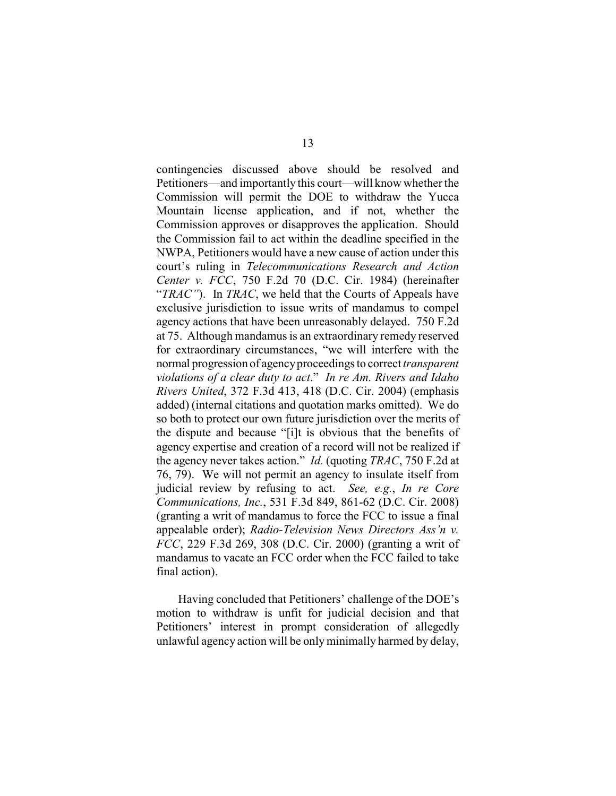contingencies discussed above should be resolved and Petitioners—and importantly this court—will know whether the Commission will permit the DOE to withdraw the Yucca Mountain license application, and if not, whether the Commission approves or disapproves the application. Should the Commission fail to act within the deadline specified in the NWPA, Petitioners would have a new cause of action under this court's ruling in *Telecommunications Research and Action Center v. FCC*, 750 F.2d 70 (D.C. Cir. 1984) (hereinafter "*TRAC"*). In *TRAC*, we held that the Courts of Appeals have exclusive jurisdiction to issue writs of mandamus to compel agency actions that have been unreasonably delayed. 750 F.2d at 75. Although mandamus is an extraordinary remedy reserved for extraordinary circumstances, "we will interfere with the normal progression of agencyproceedings to correct *transparent violations of a clear duty to act*." *In re Am. Rivers and Idaho Rivers United*, 372 F.3d 413, 418 (D.C. Cir. 2004) (emphasis added) (internal citations and quotation marks omitted). We do so both to protect our own future jurisdiction over the merits of the dispute and because "[i]t is obvious that the benefits of agency expertise and creation of a record will not be realized if the agency never takes action." *Id.* (quoting *TRAC*, 750 F.2d at 76, 79). We will not permit an agency to insulate itself from judicial review by refusing to act. *See, e.g.*, *In re Core Communications, Inc.*, 531 F.3d 849, 861-62 (D.C. Cir. 2008) (granting a writ of mandamus to force the FCC to issue a final appealable order); *Radio-Television News Directors Ass'n v. FCC*, 229 F.3d 269, 308 (D.C. Cir. 2000) (granting a writ of mandamus to vacate an FCC order when the FCC failed to take final action).

Having concluded that Petitioners' challenge of the DOE's motion to withdraw is unfit for judicial decision and that Petitioners' interest in prompt consideration of allegedly unlawful agency action will be onlyminimally harmed by delay,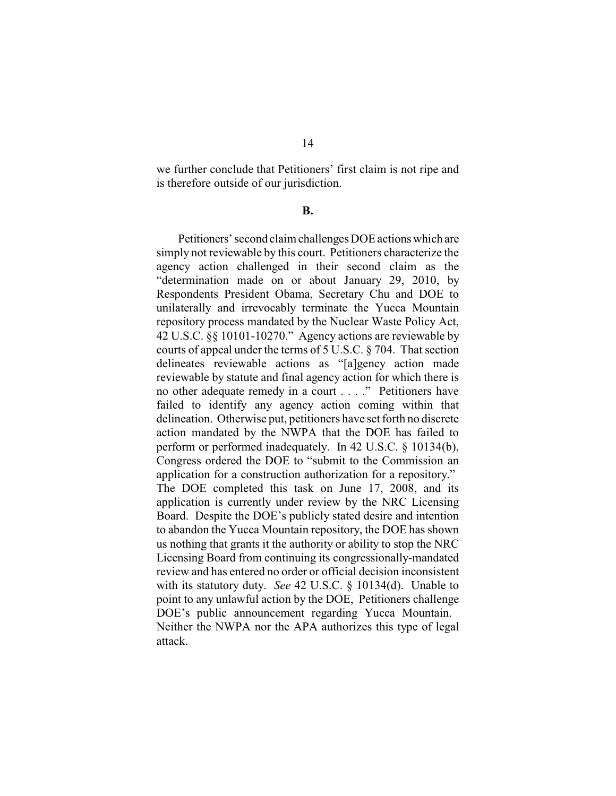we further conclude that Petitioners' first claim is not ripe and is therefore outside of our jurisdiction.

## **B.**

Petitioners' second claim challenges DOE actions which are simply not reviewable by this court. Petitioners characterize the agency action challenged in their second claim as the "determination made on or about January 29, 2010, by Respondents President Obama, Secretary Chu and DOE to unilaterally and irrevocably terminate the Yucca Mountain repository process mandated by the Nuclear Waste Policy Act, 42 U.S.C. §§ 10101-10270." Agency actions are reviewable by courts of appeal under the terms of 5 U.S.C. § 704. That section delineates reviewable actions as "[a]gency action made reviewable by statute and final agency action for which there is no other adequate remedy in a court . . . ." Petitioners have failed to identify any agency action coming within that delineation. Otherwise put, petitioners have set forth no discrete action mandated by the NWPA that the DOE has failed to perform or performed inadequately. In 42 U.S.C. § 10134(b), Congress ordered the DOE to "submit to the Commission an application for a construction authorization for a repository." The DOE completed this task on June 17, 2008, and its application is currently under review by the NRC Licensing Board. Despite the DOE's publicly stated desire and intention to abandon the Yucca Mountain repository, the DOE has shown us nothing that grants it the authority or ability to stop the NRC Licensing Board from continuing its congressionally-mandated review and has entered no order or official decision inconsistent with its statutory duty. *See* 42 U.S.C. § 10134(d). Unable to point to any unlawful action by the DOE, Petitioners challenge DOE's public announcement regarding Yucca Mountain. Neither the NWPA nor the APA authorizes this type of legal attack.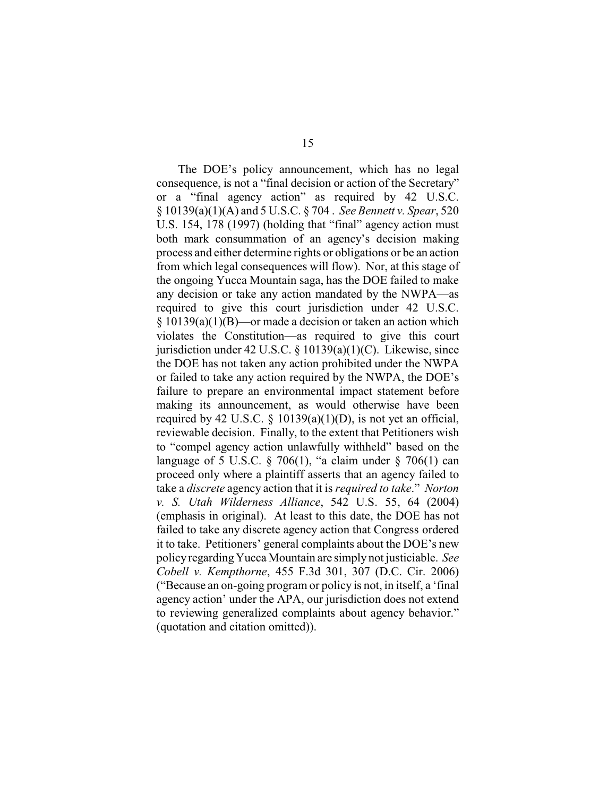The DOE's policy announcement, which has no legal consequence, is not a "final decision or action of the Secretary" or a "final agency action" as required by 42 U.S.C. § 10139(a)(1)(A) and 5 U.S.C. § 704 . *See Bennett v. Spear*, 520 U.S. 154, 178 (1997) (holding that "final" agency action must both mark consummation of an agency's decision making process and either determine rights or obligations or be an action from which legal consequences will flow). Nor, at this stage of the ongoing Yucca Mountain saga, has the DOE failed to make any decision or take any action mandated by the NWPA—as required to give this court jurisdiction under 42 U.S.C. § 10139(a)(1)(B)—or made a decision or taken an action which violates the Constitution—as required to give this court jurisdiction under 42 U.S.C.  $\S$  10139(a)(1)(C). Likewise, since the DOE has not taken any action prohibited under the NWPA or failed to take any action required by the NWPA, the DOE's failure to prepare an environmental impact statement before making its announcement, as would otherwise have been required by 42 U.S.C.  $\S$  10139(a)(1)(D), is not yet an official, reviewable decision. Finally, to the extent that Petitioners wish to "compel agency action unlawfully withheld" based on the language of 5 U.S.C.  $\S$  706(1), "a claim under  $\S$  706(1) can proceed only where a plaintiff asserts that an agency failed to take a *discrete* agency action that it is *required to take*." *Norton v. S. Utah Wilderness Alliance*, 542 U.S. 55, 64 (2004) (emphasis in original). At least to this date, the DOE has not failed to take any discrete agency action that Congress ordered it to take. Petitioners' general complaints about the DOE's new policy regardingYucca Mountain are simply not justiciable. *See Cobell v. Kempthorne*, 455 F.3d 301, 307 (D.C. Cir. 2006) ("Because an on-going program or policy is not, in itself, a 'final agency action' under the APA, our jurisdiction does not extend to reviewing generalized complaints about agency behavior." (quotation and citation omitted)).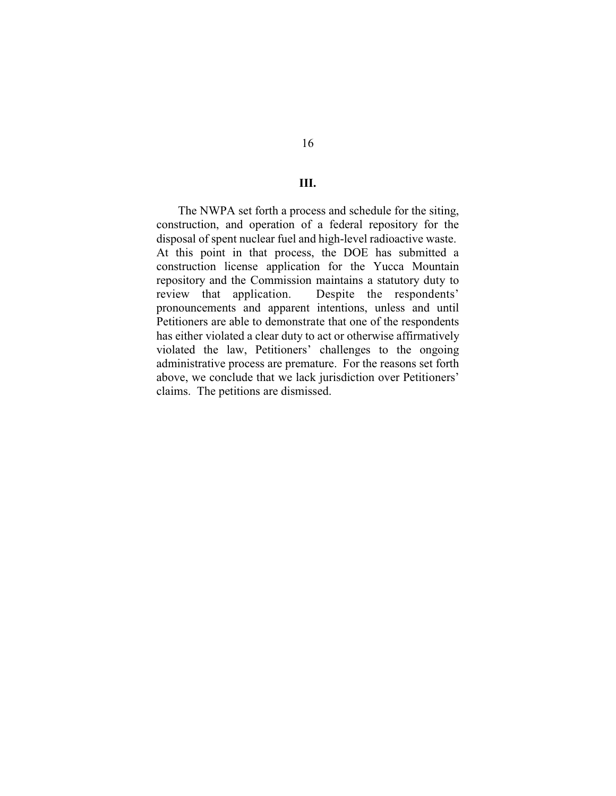#### **III.**

The NWPA set forth a process and schedule for the siting, construction, and operation of a federal repository for the disposal of spent nuclear fuel and high-level radioactive waste. At this point in that process, the DOE has submitted a construction license application for the Yucca Mountain repository and the Commission maintains a statutory duty to review that application. Despite the respondents' pronouncements and apparent intentions, unless and until Petitioners are able to demonstrate that one of the respondents has either violated a clear duty to act or otherwise affirmatively violated the law, Petitioners' challenges to the ongoing administrative process are premature. For the reasons set forth above, we conclude that we lack jurisdiction over Petitioners' claims. The petitions are dismissed.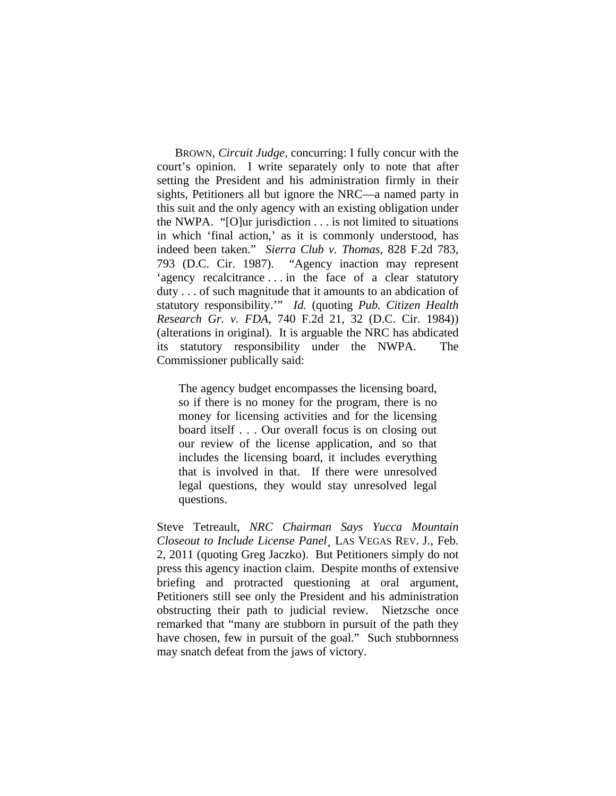BROWN, *Circuit Judge*, concurring: I fully concur with the court's opinion. I write separately only to note that after setting the President and his administration firmly in their sights, Petitioners all but ignore the NRC—a named party in this suit and the only agency with an existing obligation under the NWPA. "[O]ur jurisdiction . . . is not limited to situations in which 'final action,' as it is commonly understood, has indeed been taken." *Sierra Club v. Thomas*, 828 F.2d 783, 793 (D.C. Cir. 1987). "Agency inaction may represent 'agency recalcitrance . . . in the face of a clear statutory duty . . . of such magnitude that it amounts to an abdication of statutory responsibility.'" *Id.* (quoting *Pub. Citizen Health Research Gr. v. FDA*, 740 F.2d 21, 32 (D.C. Cir. 1984)) (alterations in original). It is arguable the NRC has abdicated its statutory responsibility under the NWPA. The Commissioner publically said:

The agency budget encompasses the licensing board, so if there is no money for the program, there is no money for licensing activities and for the licensing board itself . . . Our overall focus is on closing out our review of the license application, and so that includes the licensing board, it includes everything that is involved in that. If there were unresolved legal questions, they would stay unresolved legal questions.

Steve Tetreault, *NRC Chairman Says Yucca Mountain Closeout to Include License Panel*¸ LAS VEGAS REV. J., Feb. 2, 2011 (quoting Greg Jaczko). But Petitioners simply do not press this agency inaction claim. Despite months of extensive briefing and protracted questioning at oral argument, Petitioners still see only the President and his administration obstructing their path to judicial review. Nietzsche once remarked that "many are stubborn in pursuit of the path they have chosen, few in pursuit of the goal." Such stubbornness may snatch defeat from the jaws of victory.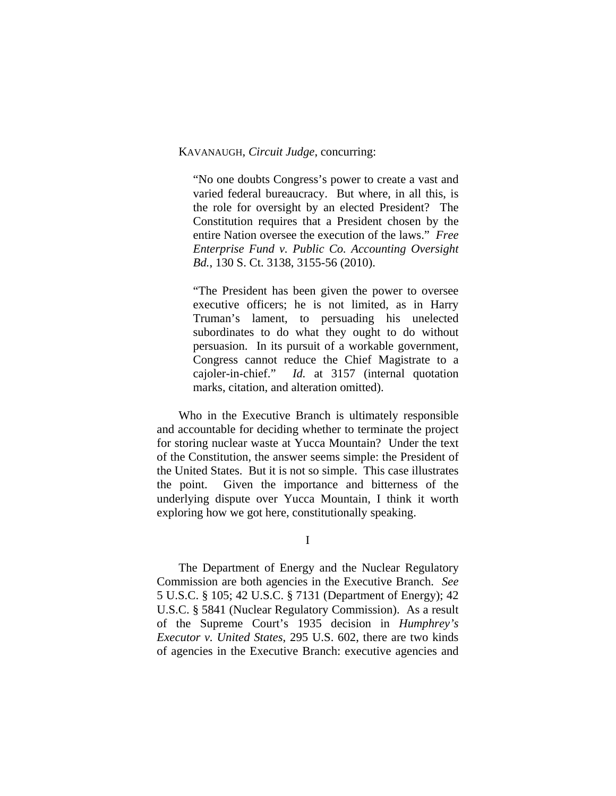## KAVANAUGH, *Circuit Judge*, concurring:

"No one doubts Congress's power to create a vast and varied federal bureaucracy. But where, in all this, is the role for oversight by an elected President? The Constitution requires that a President chosen by the entire Nation oversee the execution of the laws." *Free Enterprise Fund v. Public Co. Accounting Oversight Bd.*, 130 S. Ct. 3138, 3155-56 (2010).

"The President has been given the power to oversee executive officers; he is not limited, as in Harry Truman's lament, to persuading his unelected subordinates to do what they ought to do without persuasion. In its pursuit of a workable government, Congress cannot reduce the Chief Magistrate to a cajoler-in-chief." *Id.* at 3157 (internal quotation marks, citation, and alteration omitted).

Who in the Executive Branch is ultimately responsible and accountable for deciding whether to terminate the project for storing nuclear waste at Yucca Mountain? Under the text of the Constitution, the answer seems simple: the President of the United States. But it is not so simple. This case illustrates the point. Given the importance and bitterness of the underlying dispute over Yucca Mountain, I think it worth exploring how we got here, constitutionally speaking.

I

The Department of Energy and the Nuclear Regulatory Commission are both agencies in the Executive Branch. *See*  5 U.S.C. § 105; 42 U.S.C. § 7131 (Department of Energy); 42 U.S.C. § 5841 (Nuclear Regulatory Commission). As a result of the Supreme Court's 1935 decision in *Humphrey's Executor v. United States*, 295 U.S. 602, there are two kinds of agencies in the Executive Branch: executive agencies and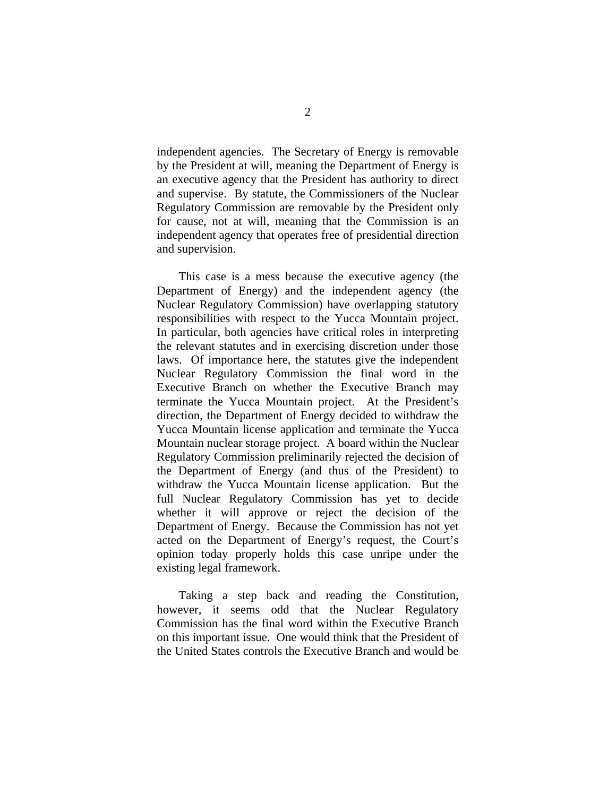independent agencies. The Secretary of Energy is removable by the President at will, meaning the Department of Energy is an executive agency that the President has authority to direct and supervise. By statute, the Commissioners of the Nuclear Regulatory Commission are removable by the President only for cause, not at will, meaning that the Commission is an independent agency that operates free of presidential direction and supervision.

This case is a mess because the executive agency (the Department of Energy) and the independent agency (the Nuclear Regulatory Commission) have overlapping statutory responsibilities with respect to the Yucca Mountain project. In particular, both agencies have critical roles in interpreting the relevant statutes and in exercising discretion under those laws. Of importance here, the statutes give the independent Nuclear Regulatory Commission the final word in the Executive Branch on whether the Executive Branch may terminate the Yucca Mountain project. At the President's direction, the Department of Energy decided to withdraw the Yucca Mountain license application and terminate the Yucca Mountain nuclear storage project. A board within the Nuclear Regulatory Commission preliminarily rejected the decision of the Department of Energy (and thus of the President) to withdraw the Yucca Mountain license application. But the full Nuclear Regulatory Commission has yet to decide whether it will approve or reject the decision of the Department of Energy. Because the Commission has not yet acted on the Department of Energy's request, the Court's opinion today properly holds this case unripe under the existing legal framework.

Taking a step back and reading the Constitution, however, it seems odd that the Nuclear Regulatory Commission has the final word within the Executive Branch on this important issue. One would think that the President of the United States controls the Executive Branch and would be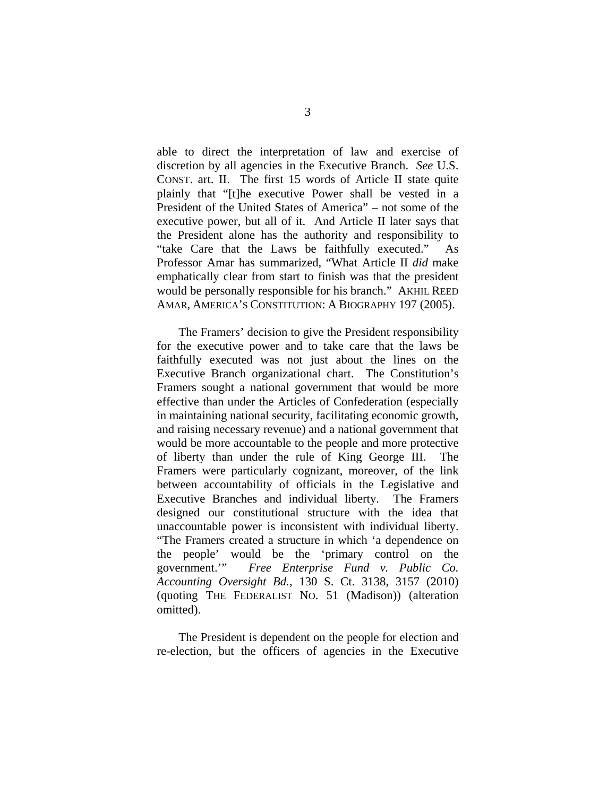able to direct the interpretation of law and exercise of discretion by all agencies in the Executive Branch. *See* U.S. CONST. art. II. The first 15 words of Article II state quite plainly that "[t]he executive Power shall be vested in a President of the United States of America" – not some of the executive power, but all of it. And Article II later says that the President alone has the authority and responsibility to "take Care that the Laws be faithfully executed." As Professor Amar has summarized, "What Article II *did* make emphatically clear from start to finish was that the president would be personally responsible for his branch." AKHIL REED AMAR, AMERICA'S CONSTITUTION: A BIOGRAPHY 197 (2005).

The Framers' decision to give the President responsibility for the executive power and to take care that the laws be faithfully executed was not just about the lines on the Executive Branch organizational chart. The Constitution's Framers sought a national government that would be more effective than under the Articles of Confederation (especially in maintaining national security, facilitating economic growth, and raising necessary revenue) and a national government that would be more accountable to the people and more protective of liberty than under the rule of King George III. The Framers were particularly cognizant, moreover, of the link between accountability of officials in the Legislative and Executive Branches and individual liberty. The Framers designed our constitutional structure with the idea that unaccountable power is inconsistent with individual liberty. "The Framers created a structure in which 'a dependence on the people' would be the 'primary control on the government.'" *Free Enterprise Fund v. Public Co. Accounting Oversight Bd.*, 130 S. Ct. 3138, 3157 (2010) (quoting THE FEDERALIST NO. 51 (Madison)) (alteration omitted).

The President is dependent on the people for election and re-election, but the officers of agencies in the Executive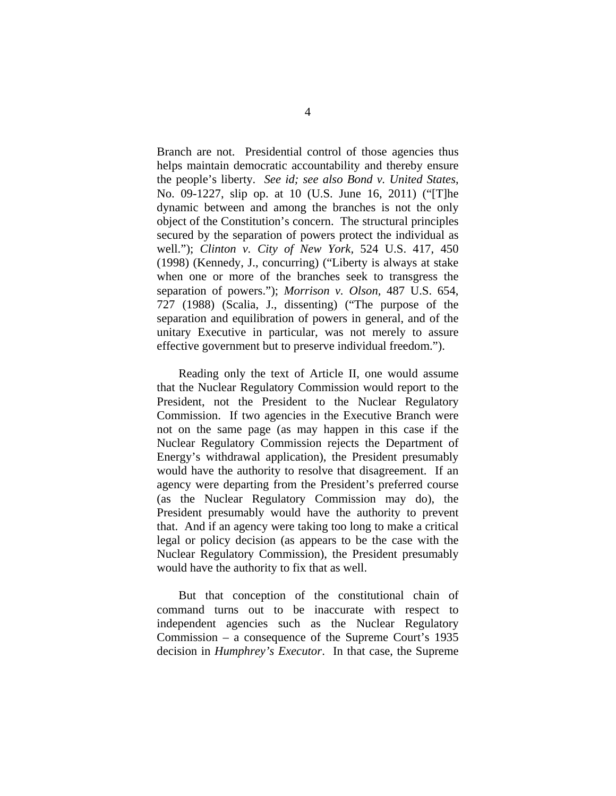Branch are not. Presidential control of those agencies thus helps maintain democratic accountability and thereby ensure the people's liberty. *See id; see also Bond v. United States*, No. 09-1227, slip op. at 10 (U.S. June 16, 2011) ("[T]he dynamic between and among the branches is not the only object of the Constitution's concern. The structural principles secured by the separation of powers protect the individual as well."); *Clinton v. City of New York,* 524 U.S. 417, 450 (1998) (Kennedy, J., concurring) ("Liberty is always at stake when one or more of the branches seek to transgress the separation of powers."); *Morrison v. Olson,* 487 U.S. 654, 727 (1988) (Scalia, J., dissenting) ("The purpose of the separation and equilibration of powers in general, and of the unitary Executive in particular, was not merely to assure effective government but to preserve individual freedom.").

Reading only the text of Article II, one would assume that the Nuclear Regulatory Commission would report to the President, not the President to the Nuclear Regulatory Commission. If two agencies in the Executive Branch were not on the same page (as may happen in this case if the Nuclear Regulatory Commission rejects the Department of Energy's withdrawal application), the President presumably would have the authority to resolve that disagreement. If an agency were departing from the President's preferred course (as the Nuclear Regulatory Commission may do), the President presumably would have the authority to prevent that. And if an agency were taking too long to make a critical legal or policy decision (as appears to be the case with the Nuclear Regulatory Commission), the President presumably would have the authority to fix that as well.

But that conception of the constitutional chain of command turns out to be inaccurate with respect to independent agencies such as the Nuclear Regulatory Commission – a consequence of the Supreme Court's 1935 decision in *Humphrey's Executor*. In that case, the Supreme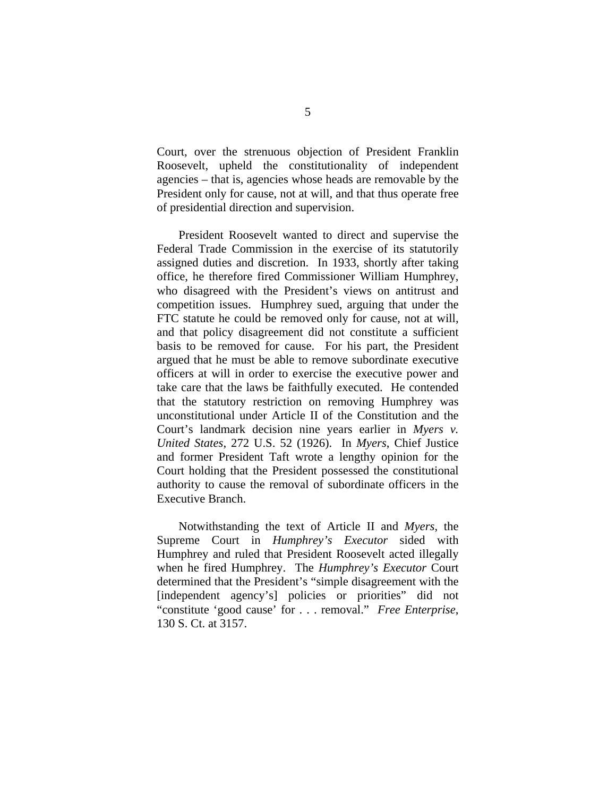Court, over the strenuous objection of President Franklin Roosevelt, upheld the constitutionality of independent agencies – that is, agencies whose heads are removable by the President only for cause, not at will, and that thus operate free of presidential direction and supervision.

President Roosevelt wanted to direct and supervise the Federal Trade Commission in the exercise of its statutorily assigned duties and discretion. In 1933, shortly after taking office, he therefore fired Commissioner William Humphrey, who disagreed with the President's views on antitrust and competition issues. Humphrey sued, arguing that under the FTC statute he could be removed only for cause, not at will, and that policy disagreement did not constitute a sufficient basis to be removed for cause. For his part, the President argued that he must be able to remove subordinate executive officers at will in order to exercise the executive power and take care that the laws be faithfully executed. He contended that the statutory restriction on removing Humphrey was unconstitutional under Article II of the Constitution and the Court's landmark decision nine years earlier in *Myers v. United States*, 272 U.S. 52 (1926). In *Myers*, Chief Justice and former President Taft wrote a lengthy opinion for the Court holding that the President possessed the constitutional authority to cause the removal of subordinate officers in the Executive Branch.

Notwithstanding the text of Article II and *Myers*, the Supreme Court in *Humphrey's Executor* sided with Humphrey and ruled that President Roosevelt acted illegally when he fired Humphrey.The *Humphrey's Executor* Court determined that the President's "simple disagreement with the [independent agency's] policies or priorities" did not "constitute 'good cause' for . . . removal." *Free Enterprise*, 130 S. Ct. at 3157.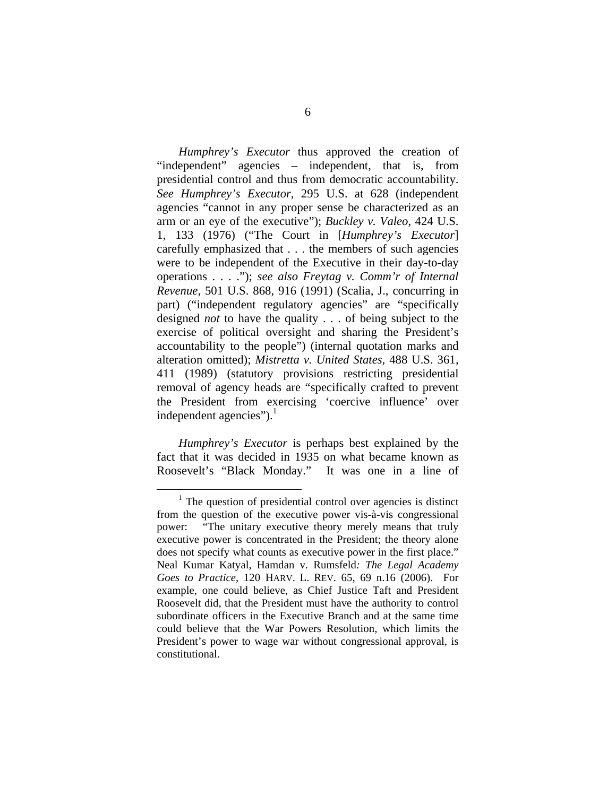*Humphrey's Executor* thus approved the creation of "independent" agencies – independent, that is, from presidential control and thus from democratic accountability. *See Humphrey's Executor*, 295 U.S. at 628 (independent agencies "cannot in any proper sense be characterized as an arm or an eye of the executive"); *Buckley v. Valeo*, 424 U.S. 1, 133 (1976) ("The Court in [*Humphrey's Executor*] carefully emphasized that . . . the members of such agencies were to be independent of the Executive in their day-to-day operations . . . ."); *see also Freytag v. Comm'r of Internal Revenue,* 501 U.S. 868, 916 (1991) (Scalia, J., concurring in part) ("independent regulatory agencies" are "specifically designed *not* to have the quality . . . of being subject to the exercise of political oversight and sharing the President's accountability to the people") (internal quotation marks and alteration omitted); *Mistretta v. United States,* 488 U.S. 361, 411 (1989) (statutory provisions restricting presidential removal of agency heads are "specifically crafted to prevent the President from exercising 'coercive influence' over independent agencies"). $<sup>1</sup>$ </sup>

*Humphrey's Executor* is perhaps best explained by the fact that it was decided in 1935 on what became known as Roosevelt's "Black Monday." It was one in a line of

 <sup>1</sup>  $\frac{1}{1}$ . The question of presidential control over agencies is distinct from the question of the executive power vis-à-vis congressional power: "The unitary executive theory merely means that truly executive power is concentrated in the President; the theory alone does not specify what counts as executive power in the first place." Neal Kumar Katyal, Hamdan v. Rumsfeld*: The Legal Academy Goes to Practice*, 120 HARV. L. REV. 65, 69 n.16 (2006). For example, one could believe, as Chief Justice Taft and President Roosevelt did, that the President must have the authority to control subordinate officers in the Executive Branch and at the same time could believe that the War Powers Resolution, which limits the President's power to wage war without congressional approval, is constitutional.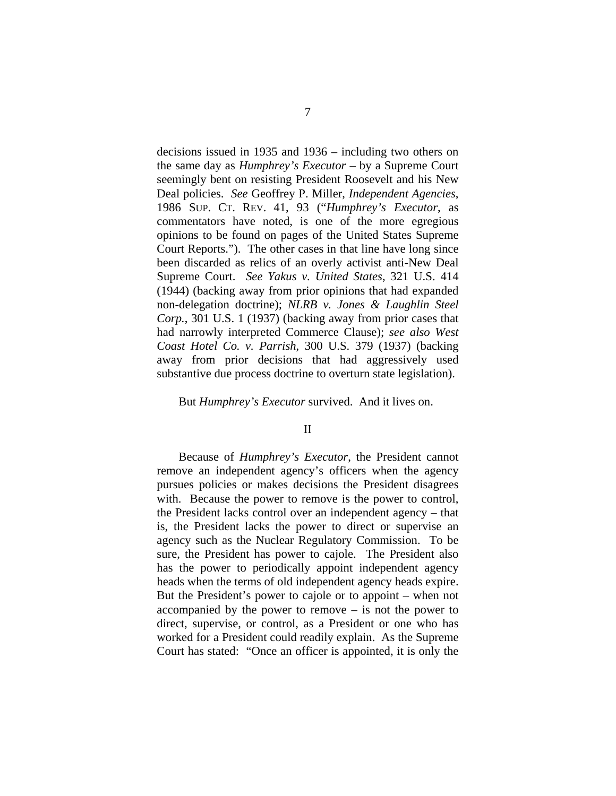decisions issued in 1935 and 1936 – including two others on the same day as *Humphrey's Executor* – by a Supreme Court seemingly bent on resisting President Roosevelt and his New Deal policies. *See* Geoffrey P. Miller, *Independent Agencies*, 1986 SUP. CT. REV. 41, 93 ("*Humphrey's Executor*, as commentators have noted, is one of the more egregious opinions to be found on pages of the United States Supreme Court Reports."). The other cases in that line have long since been discarded as relics of an overly activist anti-New Deal Supreme Court. *See Yakus v. United States*, 321 U.S. 414 (1944) (backing away from prior opinions that had expanded non-delegation doctrine); *NLRB v. Jones & Laughlin Steel Corp.*, 301 U.S. 1 (1937) (backing away from prior cases that had narrowly interpreted Commerce Clause); *see also West Coast Hotel Co. v. Parrish*, 300 U.S. 379 (1937) (backing away from prior decisions that had aggressively used substantive due process doctrine to overturn state legislation).

# But *Humphrey's Executor* survived. And it lives on.

## II

Because of *Humphrey's Executor*, the President cannot remove an independent agency's officers when the agency pursues policies or makes decisions the President disagrees with. Because the power to remove is the power to control, the President lacks control over an independent agency – that is, the President lacks the power to direct or supervise an agency such as the Nuclear Regulatory Commission. To be sure, the President has power to cajole. The President also has the power to periodically appoint independent agency heads when the terms of old independent agency heads expire. But the President's power to cajole or to appoint – when not accompanied by the power to remove – is not the power to direct, supervise, or control, as a President or one who has worked for a President could readily explain. As the Supreme Court has stated: "Once an officer is appointed, it is only the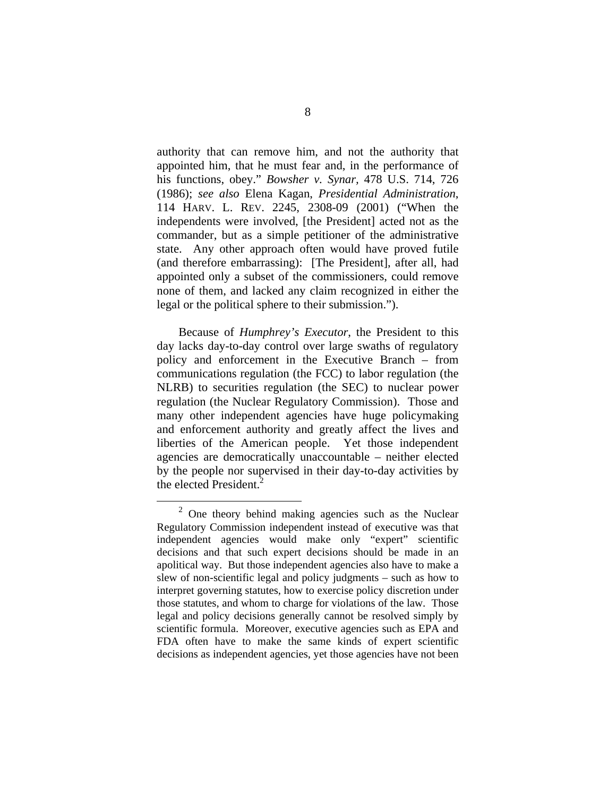authority that can remove him, and not the authority that appointed him, that he must fear and, in the performance of his functions, obey." *Bowsher v. Synar,* 478 U.S. 714, 726 (1986); *see also* Elena Kagan, *Presidential Administration*, 114 HARV. L. REV. 2245, 2308-09 (2001) ("When the independents were involved, [the President] acted not as the commander, but as a simple petitioner of the administrative state. Any other approach often would have proved futile (and therefore embarrassing): [The President], after all, had appointed only a subset of the commissioners, could remove none of them, and lacked any claim recognized in either the legal or the political sphere to their submission.").

Because of *Humphrey's Executor*, the President to this day lacks day-to-day control over large swaths of regulatory policy and enforcement in the Executive Branch – from communications regulation (the FCC) to labor regulation (the NLRB) to securities regulation (the SEC) to nuclear power regulation (the Nuclear Regulatory Commission). Those and many other independent agencies have huge policymaking and enforcement authority and greatly affect the lives and liberties of the American people. Yet those independent agencies are democratically unaccountable – neither elected by the people nor supervised in their day-to-day activities by the elected President.<sup>2</sup>

 <sup>2</sup> One theory behind making agencies such as the Nuclear Regulatory Commission independent instead of executive was that independent agencies would make only "expert" scientific decisions and that such expert decisions should be made in an apolitical way. But those independent agencies also have to make a slew of non-scientific legal and policy judgments – such as how to interpret governing statutes, how to exercise policy discretion under those statutes, and whom to charge for violations of the law. Those legal and policy decisions generally cannot be resolved simply by scientific formula. Moreover, executive agencies such as EPA and FDA often have to make the same kinds of expert scientific decisions as independent agencies, yet those agencies have not been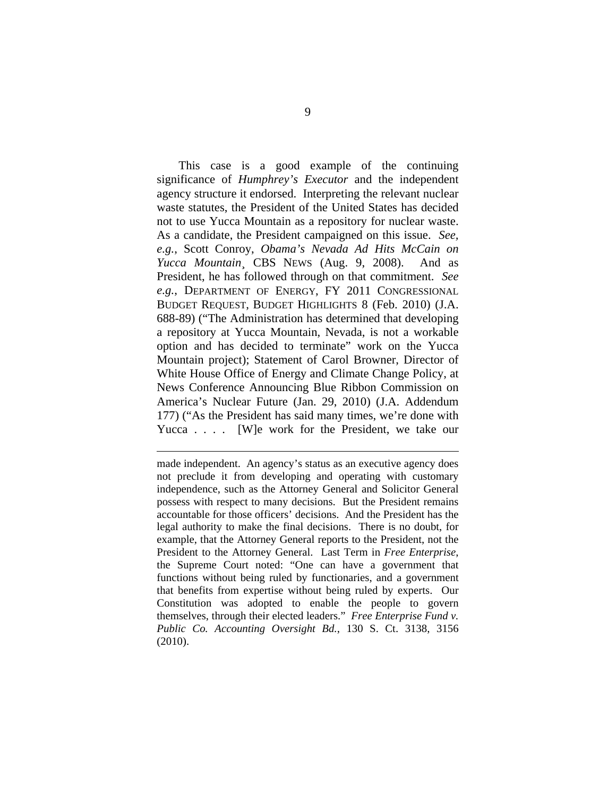This case is a good example of the continuing significance of *Humphrey's Executor* and the independent agency structure it endorsed. Interpreting the relevant nuclear waste statutes, the President of the United States has decided not to use Yucca Mountain as a repository for nuclear waste. As a candidate, the President campaigned on this issue. *See, e.g.*, Scott Conroy, *Obama's Nevada Ad Hits McCain on Yucca Mountain*¸ CBS NEWS (Aug. 9, 2008). And as President, he has followed through on that commitment. *See e.g.*, DEPARTMENT OF ENERGY, FY 2011 CONGRESSIONAL BUDGET REQUEST, BUDGET HIGHLIGHTS 8 (Feb. 2010) (J.A. 688-89) ("The Administration has determined that developing a repository at Yucca Mountain, Nevada, is not a workable option and has decided to terminate" work on the Yucca Mountain project); Statement of Carol Browner, Director of White House Office of Energy and Climate Change Policy, at News Conference Announcing Blue Ribbon Commission on America's Nuclear Future (Jan. 29, 2010) (J.A. Addendum 177) ("As the President has said many times, we're done with Yucca . . . . [W]e work for the President, we take our

made independent. An agency's status as an executive agency does not preclude it from developing and operating with customary independence, such as the Attorney General and Solicitor General possess with respect to many decisions. But the President remains accountable for those officers' decisions. And the President has the legal authority to make the final decisions. There is no doubt, for example, that the Attorney General reports to the President, not the President to the Attorney General. Last Term in *Free Enterprise*, the Supreme Court noted: "One can have a government that functions without being ruled by functionaries, and a government that benefits from expertise without being ruled by experts. Our Constitution was adopted to enable the people to govern themselves, through their elected leaders." *Free Enterprise Fund v. Public Co. Accounting Oversight Bd.*, 130 S. Ct. 3138, 3156 (2010).

 $\overline{a}$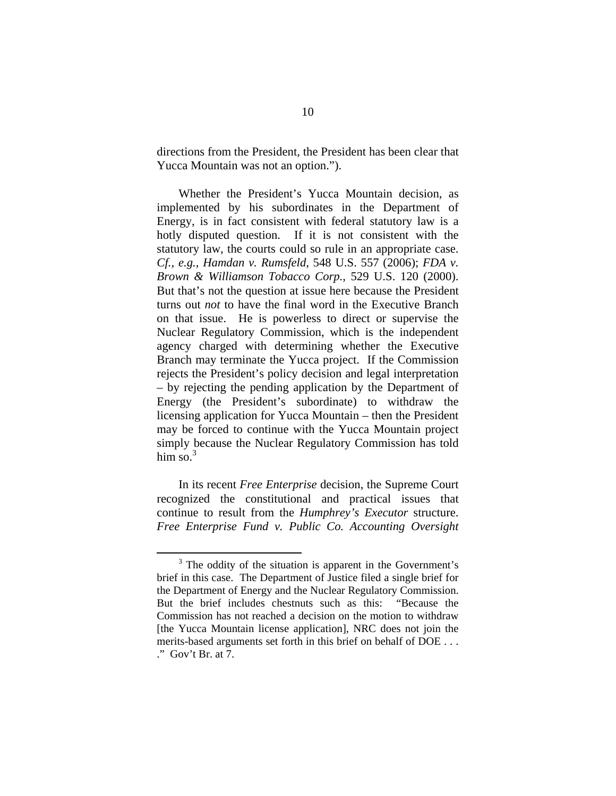directions from the President, the President has been clear that Yucca Mountain was not an option.").

Whether the President's Yucca Mountain decision, as implemented by his subordinates in the Department of Energy, is in fact consistent with federal statutory law is a hotly disputed question. If it is not consistent with the statutory law, the courts could so rule in an appropriate case. *Cf., e.g.*, *Hamdan v. Rumsfeld*, 548 U.S. 557 (2006); *FDA v. Brown & Williamson Tobacco Corp.*, 529 U.S. 120 (2000). But that's not the question at issue here because the President turns out *not* to have the final word in the Executive Branch on that issue. He is powerless to direct or supervise the Nuclear Regulatory Commission, which is the independent agency charged with determining whether the Executive Branch may terminate the Yucca project. If the Commission rejects the President's policy decision and legal interpretation – by rejecting the pending application by the Department of Energy (the President's subordinate) to withdraw the licensing application for Yucca Mountain – then the President may be forced to continue with the Yucca Mountain project simply because the Nuclear Regulatory Commission has told him so. $3$ 

In its recent *Free Enterprise* decision, the Supreme Court recognized the constitutional and practical issues that continue to result from the *Humphrey's Executor* structure. *Free Enterprise Fund v. Public Co. Accounting Oversight* 

 $\frac{1}{3}$  $3$  The oddity of the situation is apparent in the Government's brief in this case. The Department of Justice filed a single brief for the Department of Energy and the Nuclear Regulatory Commission. But the brief includes chestnuts such as this: "Because the Commission has not reached a decision on the motion to withdraw [the Yucca Mountain license application], NRC does not join the merits-based arguments set forth in this brief on behalf of DOE . . . ." Gov't Br. at 7.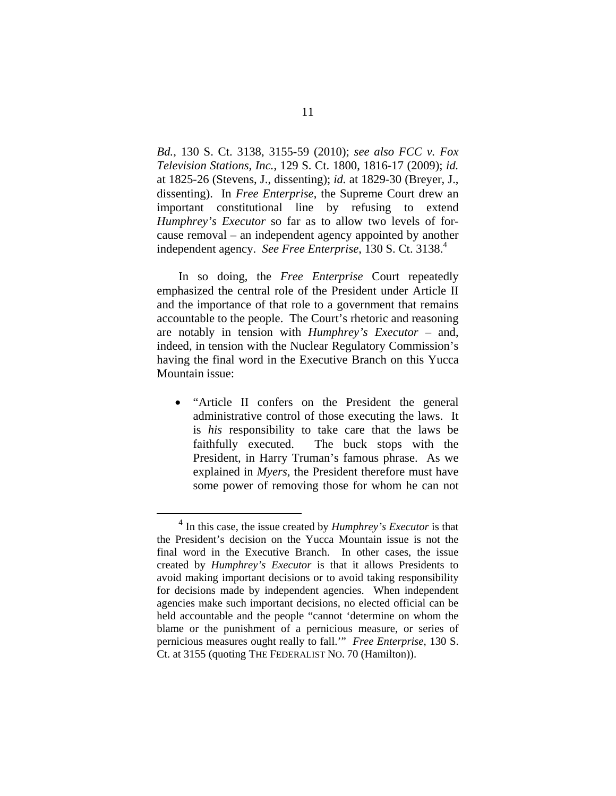*Bd.*, 130 S. Ct. 3138, 3155-59 (2010); *see also FCC v. Fox Television Stations, Inc.*, 129 S. Ct. 1800, 1816-17 (2009); *id.*  at 1825-26 (Stevens, J., dissenting); *id.* at 1829-30 (Breyer, J., dissenting). In *Free Enterprise*, the Supreme Court drew an important constitutional line by refusing to extend *Humphrey's Executor* so far as to allow two levels of forcause removal – an independent agency appointed by another independent agency. *See Free Enterprise*, 130 S. Ct. 3138.4

In so doing, the *Free Enterprise* Court repeatedly emphasized the central role of the President under Article II and the importance of that role to a government that remains accountable to the people. The Court's rhetoric and reasoning are notably in tension with *Humphrey's Executor* – and, indeed, in tension with the Nuclear Regulatory Commission's having the final word in the Executive Branch on this Yucca Mountain issue:

 "Article II confers on the President the general administrative control of those executing the laws. It is *his* responsibility to take care that the laws be faithfully executed. The buck stops with the President, in Harry Truman's famous phrase. As we explained in *Myers*, the President therefore must have some power of removing those for whom he can not

 <sup>4</sup> In this case, the issue created by *Humphrey's Executor* is that the President's decision on the Yucca Mountain issue is not the final word in the Executive Branch. In other cases, the issue created by *Humphrey's Executor* is that it allows Presidents to avoid making important decisions or to avoid taking responsibility for decisions made by independent agencies. When independent agencies make such important decisions, no elected official can be held accountable and the people "cannot 'determine on whom the blame or the punishment of a pernicious measure, or series of pernicious measures ought really to fall.'" *Free Enterprise*, 130 S. Ct. at 3155 (quoting THE FEDERALIST NO. 70 (Hamilton)).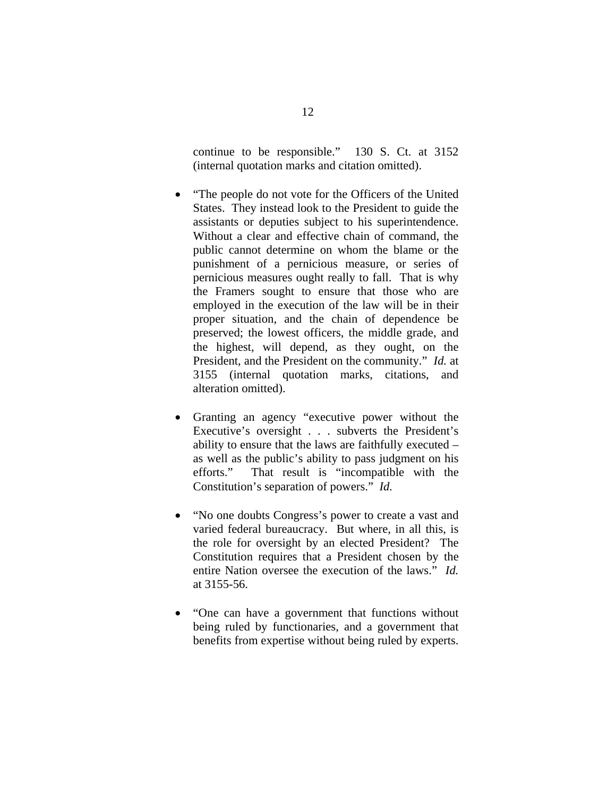continue to be responsible." 130 S. Ct. at 3152 (internal quotation marks and citation omitted).

- "The people do not vote for the Officers of the United States. They instead look to the President to guide the assistants or deputies subject to his superintendence. Without a clear and effective chain of command, the public cannot determine on whom the blame or the punishment of a pernicious measure, or series of pernicious measures ought really to fall. That is why the Framers sought to ensure that those who are employed in the execution of the law will be in their proper situation, and the chain of dependence be preserved; the lowest officers, the middle grade, and the highest, will depend, as they ought, on the President, and the President on the community." *Id.* at 3155 (internal quotation marks, citations, and alteration omitted).
- Granting an agency "executive power without the Executive's oversight . . . subverts the President's ability to ensure that the laws are faithfully executed – as well as the public's ability to pass judgment on his efforts." That result is "incompatible with the Constitution's separation of powers." *Id.*
- "No one doubts Congress's power to create a vast and varied federal bureaucracy. But where, in all this, is the role for oversight by an elected President? The Constitution requires that a President chosen by the entire Nation oversee the execution of the laws." *Id.*  at 3155-56.
- "One can have a government that functions without being ruled by functionaries, and a government that benefits from expertise without being ruled by experts.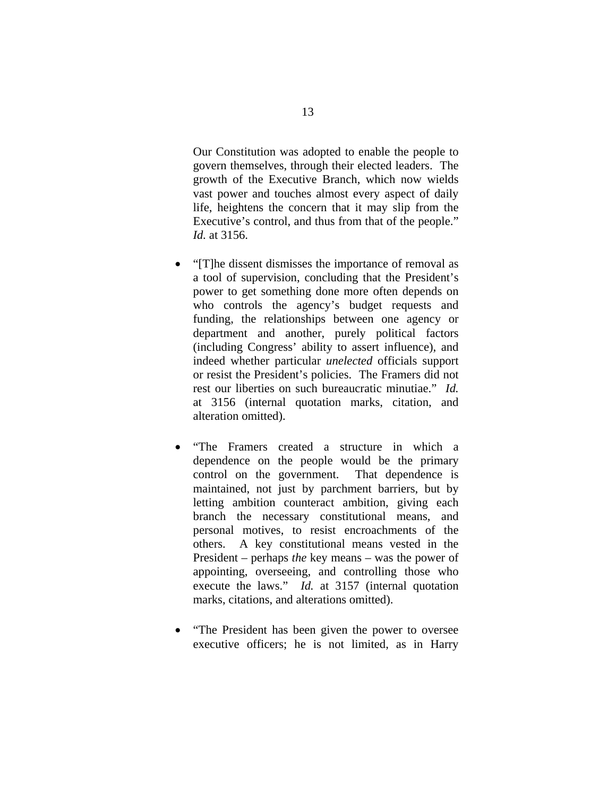Our Constitution was adopted to enable the people to govern themselves, through their elected leaders. The growth of the Executive Branch, which now wields vast power and touches almost every aspect of daily life, heightens the concern that it may slip from the Executive's control, and thus from that of the people." *Id.* at 3156.

- "[T]he dissent dismisses the importance of removal as a tool of supervision, concluding that the President's power to get something done more often depends on who controls the agency's budget requests and funding, the relationships between one agency or department and another, purely political factors (including Congress' ability to assert influence), and indeed whether particular *unelected* officials support or resist the President's policies. The Framers did not rest our liberties on such bureaucratic minutiae." *Id.* at 3156 (internal quotation marks, citation, and alteration omitted).
- "The Framers created a structure in which a dependence on the people would be the primary control on the government. That dependence is maintained, not just by parchment barriers, but by letting ambition counteract ambition, giving each branch the necessary constitutional means, and personal motives, to resist encroachments of the others. A key constitutional means vested in the President – perhaps *the* key means – was the power of appointing, overseeing, and controlling those who execute the laws." *Id.* at 3157 (internal quotation marks, citations, and alterations omitted).
- "The President has been given the power to oversee executive officers; he is not limited, as in Harry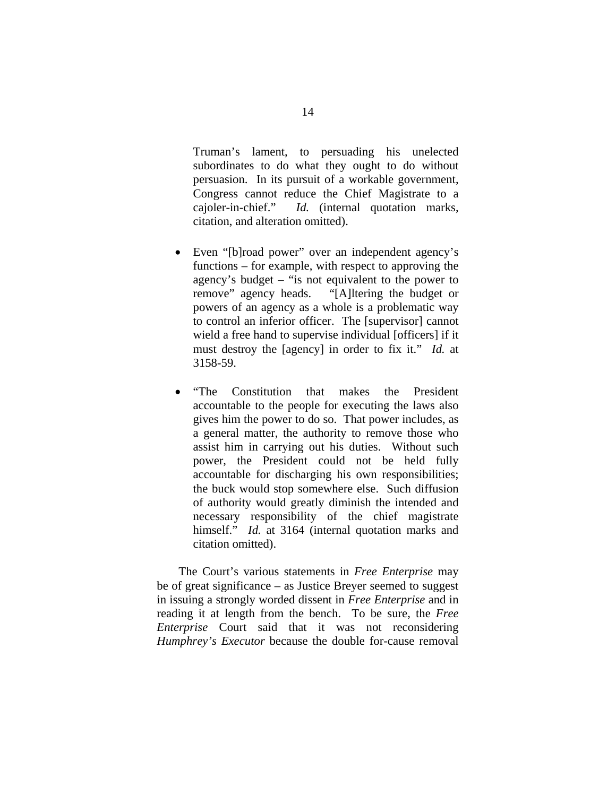Truman's lament, to persuading his unelected subordinates to do what they ought to do without persuasion. In its pursuit of a workable government, Congress cannot reduce the Chief Magistrate to a cajoler-in-chief." *Id.* (internal quotation marks, citation, and alteration omitted).

- Even "[b]road power" over an independent agency's functions – for example, with respect to approving the agency's budget – "is not equivalent to the power to remove" agency heads. "[A]ltering the budget or powers of an agency as a whole is a problematic way to control an inferior officer. The [supervisor] cannot wield a free hand to supervise individual [officers] if it must destroy the [agency] in order to fix it." *Id.* at 3158-59.
- "The Constitution that makes the President accountable to the people for executing the laws also gives him the power to do so. That power includes, as a general matter, the authority to remove those who assist him in carrying out his duties. Without such power, the President could not be held fully accountable for discharging his own responsibilities; the buck would stop somewhere else. Such diffusion of authority would greatly diminish the intended and necessary responsibility of the chief magistrate himself." *Id.* at 3164 (internal quotation marks and citation omitted).

The Court's various statements in *Free Enterprise* may be of great significance – as Justice Breyer seemed to suggest in issuing a strongly worded dissent in *Free Enterprise* and in reading it at length from the bench. To be sure, the *Free Enterprise* Court said that it was not reconsidering *Humphrey's Executor* because the double for-cause removal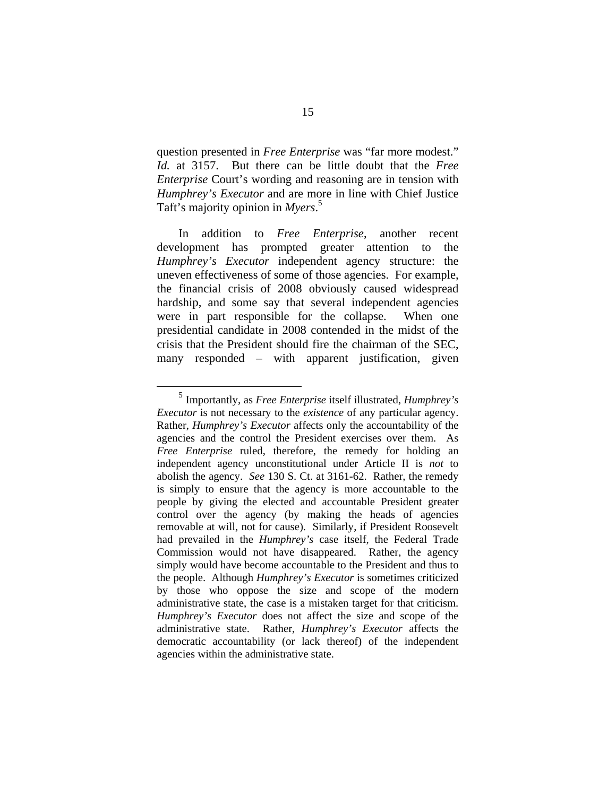question presented in *Free Enterprise* was "far more modest." *Id.* at 3157. But there can be little doubt that the *Free Enterprise* Court's wording and reasoning are in tension with *Humphrey's Executor* and are more in line with Chief Justice Taft's majority opinion in *Myers*. 5

In addition to *Free Enterprise*, another recent development has prompted greater attention to the *Humphrey's Executor* independent agency structure: the uneven effectiveness of some of those agencies. For example, the financial crisis of 2008 obviously caused widespread hardship, and some say that several independent agencies were in part responsible for the collapse. When one presidential candidate in 2008 contended in the midst of the crisis that the President should fire the chairman of the SEC, many responded – with apparent justification, given

 <sup>5</sup> Importantly, as *Free Enterprise* itself illustrated, *Humphrey's Executor* is not necessary to the *existence* of any particular agency. Rather, *Humphrey's Executor* affects only the accountability of the agencies and the control the President exercises over them. As *Free Enterprise* ruled, therefore, the remedy for holding an independent agency unconstitutional under Article II is *not* to abolish the agency. *See* 130 S. Ct. at 3161-62. Rather, the remedy is simply to ensure that the agency is more accountable to the people by giving the elected and accountable President greater control over the agency (by making the heads of agencies removable at will, not for cause). Similarly, if President Roosevelt had prevailed in the *Humphrey's* case itself, the Federal Trade Commission would not have disappeared. Rather, the agency simply would have become accountable to the President and thus to the people. Although *Humphrey's Executor* is sometimes criticized by those who oppose the size and scope of the modern administrative state, the case is a mistaken target for that criticism. *Humphrey's Executor* does not affect the size and scope of the administrative state. Rather, *Humphrey's Executor* affects the democratic accountability (or lack thereof) of the independent agencies within the administrative state.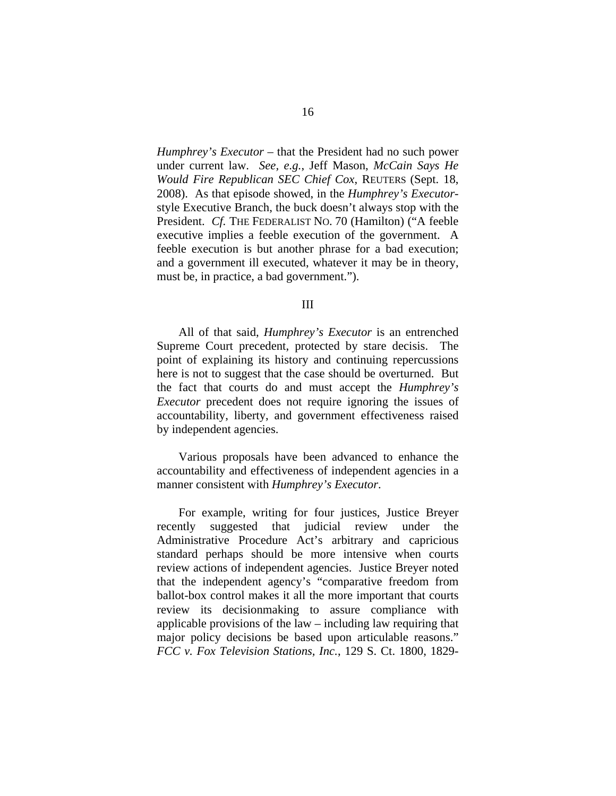*Humphrey's Executor* – that the President had no such power under current law. *See, e.g.*, Jeff Mason, *McCain Says He Would Fire Republican SEC Chief Cox*, REUTERS (Sept. 18, 2008). As that episode showed, in the *Humphrey's Executor*style Executive Branch, the buck doesn't always stop with the President. *Cf.* THE FEDERALIST NO. 70 (Hamilton) ("A feeble executive implies a feeble execution of the government. A feeble execution is but another phrase for a bad execution; and a government ill executed, whatever it may be in theory, must be, in practice, a bad government.").

III

All of that said, *Humphrey's Executor* is an entrenched Supreme Court precedent, protected by stare decisis. The point of explaining its history and continuing repercussions here is not to suggest that the case should be overturned. But the fact that courts do and must accept the *Humphrey's Executor* precedent does not require ignoring the issues of accountability, liberty, and government effectiveness raised by independent agencies.

Various proposals have been advanced to enhance the accountability and effectiveness of independent agencies in a manner consistent with *Humphrey's Executor*.

For example, writing for four justices, Justice Breyer recently suggested that judicial review under the Administrative Procedure Act's arbitrary and capricious standard perhaps should be more intensive when courts review actions of independent agencies. Justice Breyer noted that the independent agency's "comparative freedom from ballot-box control makes it all the more important that courts review its decisionmaking to assure compliance with applicable provisions of the law – including law requiring that major policy decisions be based upon articulable reasons." *FCC v. Fox Television Stations, Inc.*, 129 S. Ct. 1800, 1829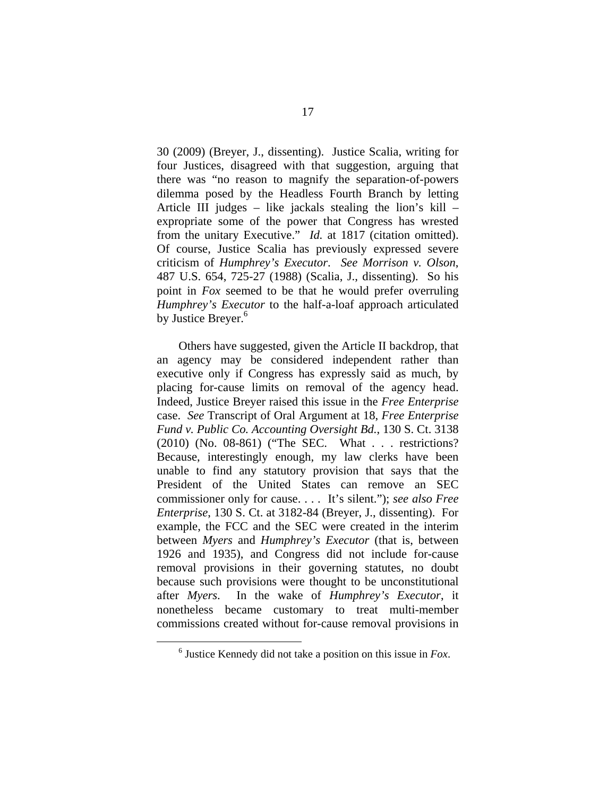30 (2009) (Breyer, J., dissenting). Justice Scalia, writing for four Justices, disagreed with that suggestion, arguing that there was "no reason to magnify the separation-of-powers dilemma posed by the Headless Fourth Branch by letting Article III judges – like jackals stealing the lion's kill – expropriate some of the power that Congress has wrested from the unitary Executive." *Id.* at 1817 (citation omitted). Of course, Justice Scalia has previously expressed severe criticism of *Humphrey's Executor*. *See Morrison v. Olson*, 487 U.S. 654, 725-27 (1988) (Scalia, J., dissenting). So his point in *Fox* seemed to be that he would prefer overruling *Humphrey's Executor* to the half-a-loaf approach articulated by Justice Breyer.<sup>6</sup>

Others have suggested, given the Article II backdrop, that an agency may be considered independent rather than executive only if Congress has expressly said as much, by placing for-cause limits on removal of the agency head. Indeed, Justice Breyer raised this issue in the *Free Enterprise* case. *See* Transcript of Oral Argument at 18, *Free Enterprise Fund v. Public Co. Accounting Oversight Bd.*, 130 S. Ct. 3138 (2010) (No. 08-861) ("The SEC. What . . . restrictions? Because, interestingly enough, my law clerks have been unable to find any statutory provision that says that the President of the United States can remove an SEC commissioner only for cause. . . . It's silent."); *see also Free Enterprise*, 130 S. Ct. at 3182-84 (Breyer, J., dissenting). For example, the FCC and the SEC were created in the interim between *Myers* and *Humphrey's Executor* (that is, between 1926 and 1935), and Congress did not include for-cause removal provisions in their governing statutes, no doubt because such provisions were thought to be unconstitutional after *Myers*. In the wake of *Humphrey's Executor*, it nonetheless became customary to treat multi-member commissions created without for-cause removal provisions in

 $\overline{6}$ Justice Kennedy did not take a position on this issue in *Fox*.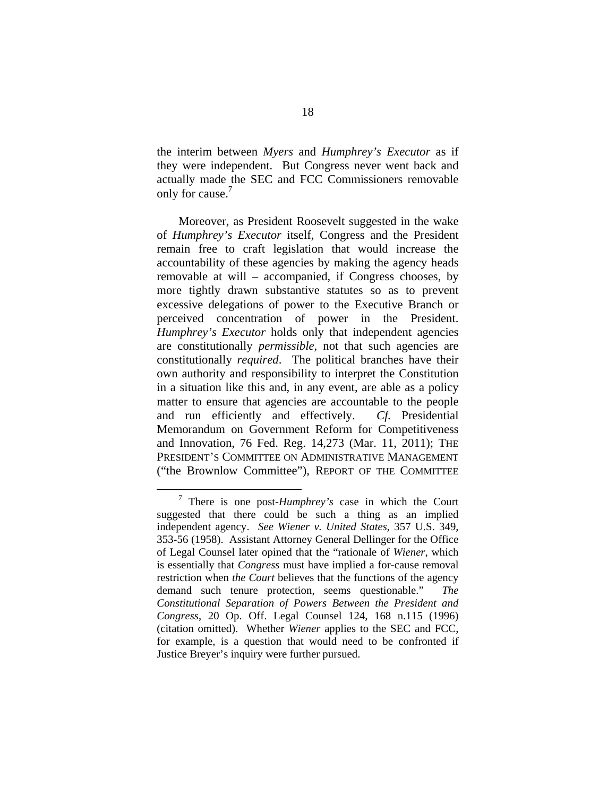the interim between *Myers* and *Humphrey's Executor* as if they were independent. But Congress never went back and actually made the SEC and FCC Commissioners removable only for cause.<sup>7</sup>

Moreover, as President Roosevelt suggested in the wake of *Humphrey's Executor* itself, Congress and the President remain free to craft legislation that would increase the accountability of these agencies by making the agency heads removable at will – accompanied, if Congress chooses, by more tightly drawn substantive statutes so as to prevent excessive delegations of power to the Executive Branch or perceived concentration of power in the President. *Humphrey's Executor* holds only that independent agencies are constitutionally *permissible*, not that such agencies are constitutionally *required*. The political branches have their own authority and responsibility to interpret the Constitution in a situation like this and, in any event, are able as a policy matter to ensure that agencies are accountable to the people and run efficiently and effectively. *Cf.* Presidential Memorandum on Government Reform for Competitiveness and Innovation, 76 Fed. Reg. 14,273 (Mar. 11, 2011); THE PRESIDENT'S COMMITTEE ON ADMINISTRATIVE MANAGEMENT ("the Brownlow Committee"), REPORT OF THE COMMITTEE

 $\frac{1}{7}$  There is one post-*Humphrey's* case in which the Court suggested that there could be such a thing as an implied independent agency. *See Wiener v. United States*, 357 U.S. 349, 353-56 (1958). Assistant Attorney General Dellinger for the Office of Legal Counsel later opined that the "rationale of *Wiener*, which is essentially that *Congress* must have implied a for-cause removal restriction when *the Court* believes that the functions of the agency demand such tenure protection, seems questionable." *The Constitutional Separation of Powers Between the President and Congress*, 20 Op. Off. Legal Counsel 124, 168 n.115 (1996) (citation omitted). Whether *Wiener* applies to the SEC and FCC, for example, is a question that would need to be confronted if Justice Breyer's inquiry were further pursued.